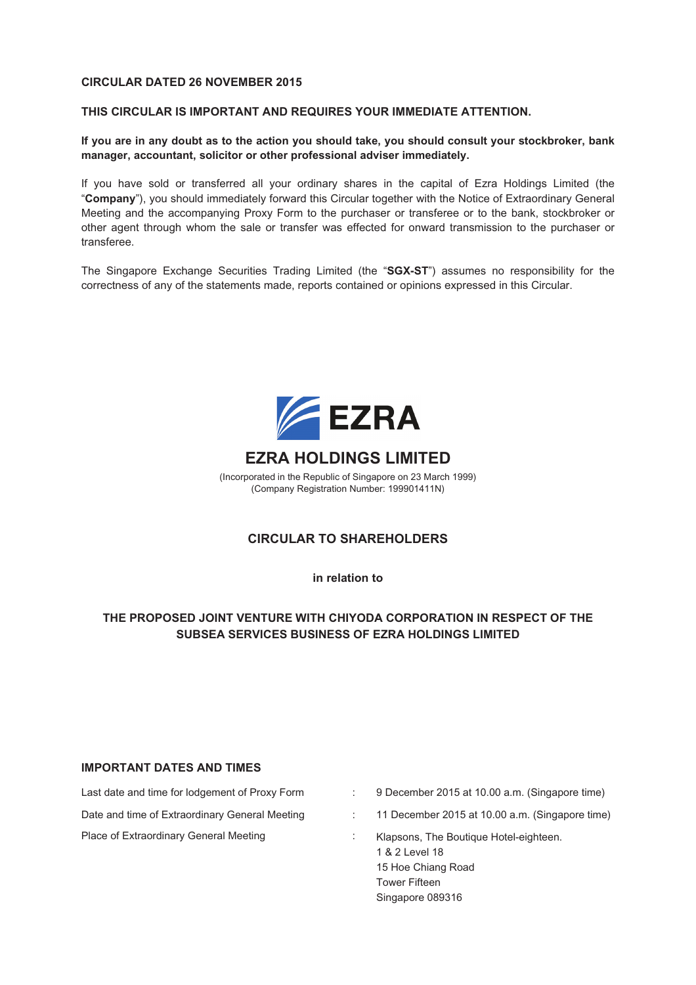#### **CIRCULAR DATED 26 NOVEMBER 2015**

#### **THIS CIRCULAR IS IMPORTANT AND REQUIRES YOUR IMMEDIATE ATTENTION.**

**If you are in any doubt as to the action you should take, you should consult your stockbroker, bank manager, accountant, solicitor or other professional adviser immediately.**

If you have sold or transferred all your ordinary shares in the capital of Ezra Holdings Limited (the "**Company**"), you should immediately forward this Circular together with the Notice of Extraordinary General Meeting and the accompanying Proxy Form to the purchaser or transferee or to the bank, stockbroker or other agent through whom the sale or transfer was effected for onward transmission to the purchaser or transferee.

The Singapore Exchange Securities Trading Limited (the "**SGX-ST**") assumes no responsibility for the correctness of any of the statements made, reports contained or opinions expressed in this Circular.



### **EZRA HOLDINGS LIMITED**

(Incorporated in the Republic of Singapore on 23 March 1999) (Company Registration Number: 199901411N)

#### **CIRCULAR TO SHAREHOLDERS**

**in relation to**

#### **THE PROPOSED JOINT VENTURE WITH CHIYODA CORPORATION IN RESPECT OF THE SUBSEA SERVICES BUSINESS OF EZRA HOLDINGS LIMITED**

#### **IMPORTANT DATES AND TIMES**

Date and time of Extraordinary General Meeting : 11 December 2015 at 10.00 a.m. (Singapore time) Place of Extraordinary General Meeting **in the Strateger of Extraordinary General Meeting** in the Klapsons, The Boutique Hotel-eighteen.

- Last date and time for lodgement of Proxy Form : 9 December 2015 at 10.00 a.m. (Singapore time)
	-
	- 1 & 2 Level 18 15 Hoe Chiang Road Tower Fifteen Singapore 089316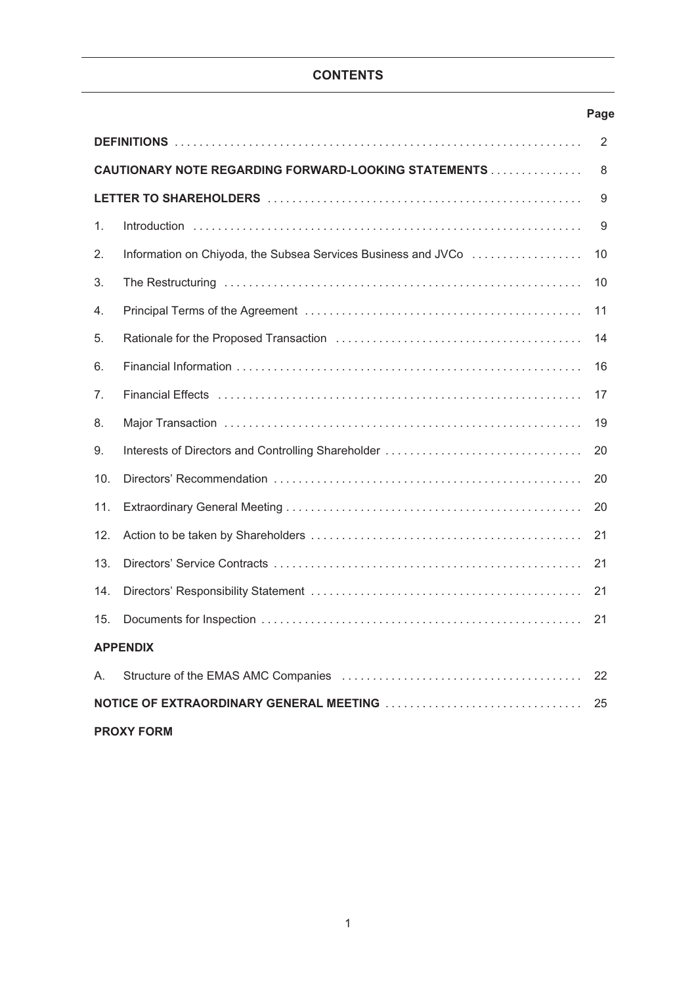# **CONTENTS**

# **Page**

|                                                           |                                                                                                                | 2  |  |  |  |  |
|-----------------------------------------------------------|----------------------------------------------------------------------------------------------------------------|----|--|--|--|--|
| CAUTIONARY NOTE REGARDING FORWARD-LOOKING STATEMENTS<br>8 |                                                                                                                |    |  |  |  |  |
|                                                           |                                                                                                                | 9  |  |  |  |  |
| 1.                                                        |                                                                                                                | 9  |  |  |  |  |
| 2.                                                        | Information on Chiyoda, the Subsea Services Business and JVCo                                                  | 10 |  |  |  |  |
| 3.                                                        |                                                                                                                | 10 |  |  |  |  |
| 4.                                                        |                                                                                                                | 11 |  |  |  |  |
| 5.                                                        |                                                                                                                | 14 |  |  |  |  |
| 6.                                                        |                                                                                                                | 16 |  |  |  |  |
| 7.                                                        | Financial Effects (and account account account account account account account account account account account | 17 |  |  |  |  |
| 8.                                                        |                                                                                                                | 19 |  |  |  |  |
| 9.                                                        |                                                                                                                | 20 |  |  |  |  |
| 10.                                                       |                                                                                                                | 20 |  |  |  |  |
| 11.                                                       |                                                                                                                | 20 |  |  |  |  |
| 12.                                                       |                                                                                                                | 21 |  |  |  |  |
| 13.                                                       |                                                                                                                | 21 |  |  |  |  |
| 14.                                                       |                                                                                                                | 21 |  |  |  |  |
| 15.                                                       |                                                                                                                | 21 |  |  |  |  |
|                                                           | <b>APPENDIX</b>                                                                                                |    |  |  |  |  |
| А.                                                        |                                                                                                                | 22 |  |  |  |  |
|                                                           |                                                                                                                | 25 |  |  |  |  |
| <b>PROXY FORM</b>                                         |                                                                                                                |    |  |  |  |  |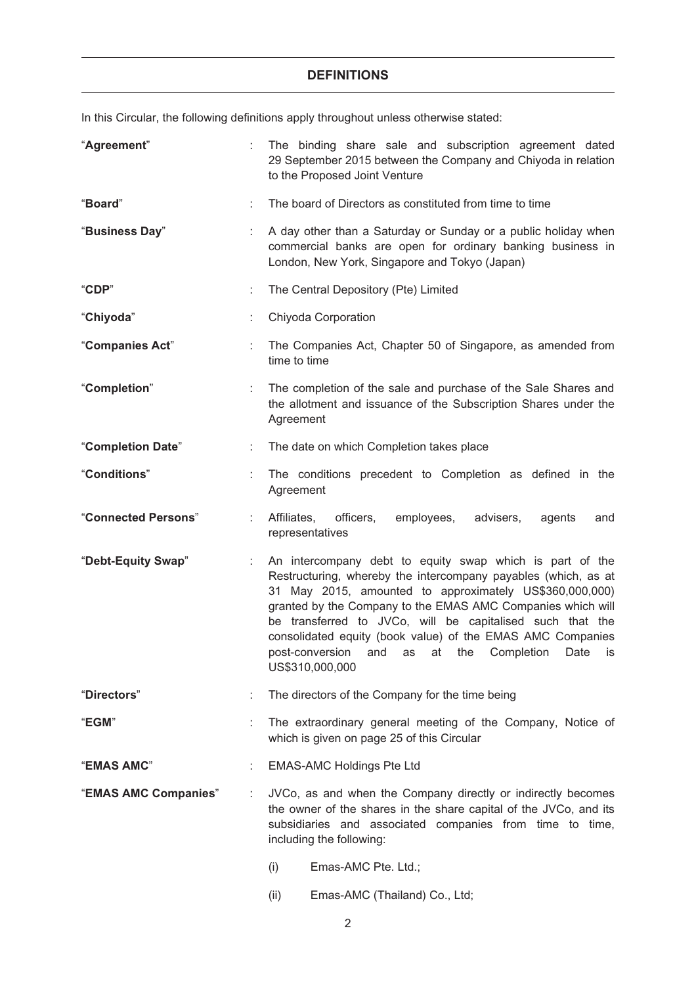#### **DEFINITIONS**

In this Circular, the following definitions apply throughout unless otherwise stated:

| "Agreement"          |    | The binding share sale and subscription agreement dated<br>29 September 2015 between the Company and Chiyoda in relation<br>to the Proposed Joint Venture                                                                                                                                                                                                                                                                                                                          |  |  |  |  |
|----------------------|----|------------------------------------------------------------------------------------------------------------------------------------------------------------------------------------------------------------------------------------------------------------------------------------------------------------------------------------------------------------------------------------------------------------------------------------------------------------------------------------|--|--|--|--|
| "Board"              |    | The board of Directors as constituted from time to time                                                                                                                                                                                                                                                                                                                                                                                                                            |  |  |  |  |
| "Business Day"       |    | A day other than a Saturday or Sunday or a public holiday when<br>commercial banks are open for ordinary banking business in<br>London, New York, Singapore and Tokyo (Japan)                                                                                                                                                                                                                                                                                                      |  |  |  |  |
| "CDP"                |    | The Central Depository (Pte) Limited                                                                                                                                                                                                                                                                                                                                                                                                                                               |  |  |  |  |
| "Chiyoda"            |    | Chiyoda Corporation                                                                                                                                                                                                                                                                                                                                                                                                                                                                |  |  |  |  |
| "Companies Act"      |    | The Companies Act, Chapter 50 of Singapore, as amended from<br>time to time                                                                                                                                                                                                                                                                                                                                                                                                        |  |  |  |  |
| "Completion"         |    | The completion of the sale and purchase of the Sale Shares and<br>the allotment and issuance of the Subscription Shares under the<br>Agreement                                                                                                                                                                                                                                                                                                                                     |  |  |  |  |
| "Completion Date"    | ÷. | The date on which Completion takes place                                                                                                                                                                                                                                                                                                                                                                                                                                           |  |  |  |  |
| "Conditions"         |    | The conditions precedent to Completion as defined in the<br>Agreement                                                                                                                                                                                                                                                                                                                                                                                                              |  |  |  |  |
| "Connected Persons"  |    | Affiliates,<br>officers,<br>employees,<br>advisers,<br>agents<br>and<br>representatives                                                                                                                                                                                                                                                                                                                                                                                            |  |  |  |  |
| "Debt-Equity Swap"   |    | An intercompany debt to equity swap which is part of the<br>Restructuring, whereby the intercompany payables (which, as at<br>31 May 2015, amounted to approximately US\$360,000,000)<br>granted by the Company to the EMAS AMC Companies which will<br>be transferred to JVCo, will be capitalised such that the<br>consolidated equity (book value) of the EMAS AMC Companies<br>post-conversion<br>at<br>the<br>Completion<br>Date<br>and<br>as<br><b>is</b><br>US\$310,000,000 |  |  |  |  |
| "Directors"          |    | The directors of the Company for the time being                                                                                                                                                                                                                                                                                                                                                                                                                                    |  |  |  |  |
| "EGM"                |    | The extraordinary general meeting of the Company, Notice of<br>which is given on page 25 of this Circular                                                                                                                                                                                                                                                                                                                                                                          |  |  |  |  |
| "EMAS AMC"           |    | <b>EMAS-AMC Holdings Pte Ltd</b>                                                                                                                                                                                                                                                                                                                                                                                                                                                   |  |  |  |  |
| "EMAS AMC Companies" | ÷  | JVCo, as and when the Company directly or indirectly becomes<br>the owner of the shares in the share capital of the JVCo, and its<br>subsidiaries and associated companies from time to time,<br>including the following:                                                                                                                                                                                                                                                          |  |  |  |  |
|                      |    | Emas-AMC Pte. Ltd.;<br>(i)                                                                                                                                                                                                                                                                                                                                                                                                                                                         |  |  |  |  |

(ii) Emas-AMC (Thailand) Co., Ltd;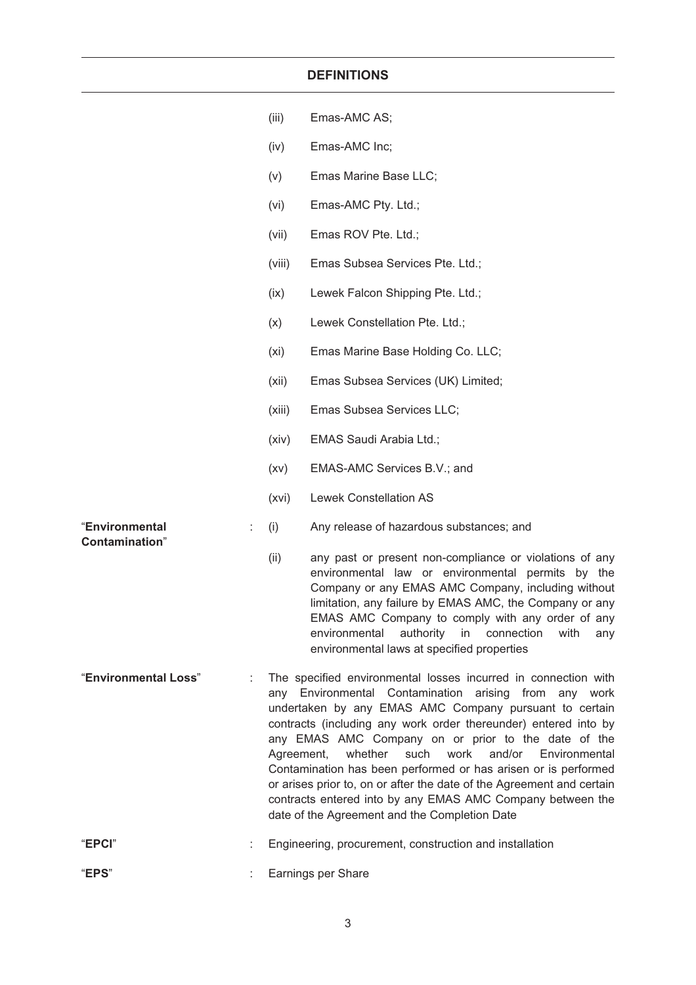### **DEFINITIONS**

|                                          |   | (iii)      | Emas-AMC AS;                                                                                                                                                                                                                                                                                                                                                                                                                                                                                                                                                                                                                |
|------------------------------------------|---|------------|-----------------------------------------------------------------------------------------------------------------------------------------------------------------------------------------------------------------------------------------------------------------------------------------------------------------------------------------------------------------------------------------------------------------------------------------------------------------------------------------------------------------------------------------------------------------------------------------------------------------------------|
|                                          |   | (iv)       | Emas-AMC Inc;                                                                                                                                                                                                                                                                                                                                                                                                                                                                                                                                                                                                               |
|                                          |   | (v)        | Emas Marine Base LLC;                                                                                                                                                                                                                                                                                                                                                                                                                                                                                                                                                                                                       |
|                                          |   | (vi)       | Emas-AMC Pty. Ltd.;                                                                                                                                                                                                                                                                                                                                                                                                                                                                                                                                                                                                         |
|                                          |   | (vii)      | Emas ROV Pte. Ltd.;                                                                                                                                                                                                                                                                                                                                                                                                                                                                                                                                                                                                         |
|                                          |   | (viii)     | Emas Subsea Services Pte. Ltd.;                                                                                                                                                                                                                                                                                                                                                                                                                                                                                                                                                                                             |
|                                          |   | (ix)       | Lewek Falcon Shipping Pte. Ltd.;                                                                                                                                                                                                                                                                                                                                                                                                                                                                                                                                                                                            |
|                                          |   | (x)        | Lewek Constellation Pte. Ltd.;                                                                                                                                                                                                                                                                                                                                                                                                                                                                                                                                                                                              |
|                                          |   | (xi)       | Emas Marine Base Holding Co. LLC;                                                                                                                                                                                                                                                                                                                                                                                                                                                                                                                                                                                           |
|                                          |   | (xii)      | Emas Subsea Services (UK) Limited;                                                                                                                                                                                                                                                                                                                                                                                                                                                                                                                                                                                          |
|                                          |   | (xiii)     | Emas Subsea Services LLC;                                                                                                                                                                                                                                                                                                                                                                                                                                                                                                                                                                                                   |
|                                          |   | (xiv)      | EMAS Saudi Arabia Ltd.;                                                                                                                                                                                                                                                                                                                                                                                                                                                                                                                                                                                                     |
|                                          |   | (xv)       | EMAS-AMC Services B.V.; and                                                                                                                                                                                                                                                                                                                                                                                                                                                                                                                                                                                                 |
|                                          |   | (xvi)      | <b>Lewek Constellation AS</b>                                                                                                                                                                                                                                                                                                                                                                                                                                                                                                                                                                                               |
| "Environmental<br><b>Contamination</b> " | ÷ | (i)        | Any release of hazardous substances; and                                                                                                                                                                                                                                                                                                                                                                                                                                                                                                                                                                                    |
|                                          |   | (ii)       | any past or present non-compliance or violations of any<br>environmental law or environmental permits by the<br>Company or any EMAS AMC Company, including without<br>limitation, any failure by EMAS AMC, the Company or any<br>EMAS AMC Company to comply with any order of any<br>environmental<br>authority<br>in<br>connection<br>with<br>any<br>environmental laws at specified properties                                                                                                                                                                                                                            |
| "Environmental Loss"                     |   | Agreement, | The specified environmental losses incurred in connection with<br>any Environmental Contamination arising from any work<br>undertaken by any EMAS AMC Company pursuant to certain<br>contracts (including any work order thereunder) entered into by<br>any EMAS AMC Company on or prior to the date of the<br>such<br>work<br>whether<br>and/or<br>Environmental<br>Contamination has been performed or has arisen or is performed<br>or arises prior to, on or after the date of the Agreement and certain<br>contracts entered into by any EMAS AMC Company between the<br>date of the Agreement and the Completion Date |
| "EPCI"                                   |   |            | Engineering, procurement, construction and installation                                                                                                                                                                                                                                                                                                                                                                                                                                                                                                                                                                     |
| "EPS"                                    |   |            | Earnings per Share                                                                                                                                                                                                                                                                                                                                                                                                                                                                                                                                                                                                          |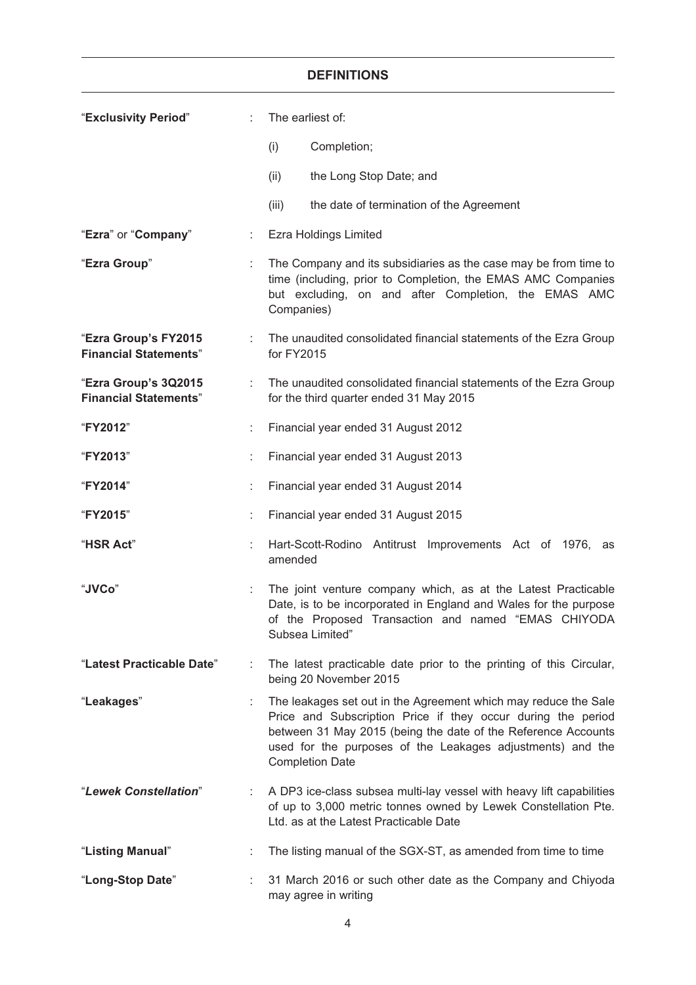## **DEFINITIONS**

| "Exclusivity Period"                                 | ÷. | The earliest of:                                                                                                                                                                                                                                                                         |
|------------------------------------------------------|----|------------------------------------------------------------------------------------------------------------------------------------------------------------------------------------------------------------------------------------------------------------------------------------------|
|                                                      |    | (i)<br>Completion;                                                                                                                                                                                                                                                                       |
|                                                      |    | (ii)<br>the Long Stop Date; and                                                                                                                                                                                                                                                          |
|                                                      |    | (iii)<br>the date of termination of the Agreement                                                                                                                                                                                                                                        |
| "Ezra" or "Company"                                  |    | <b>Ezra Holdings Limited</b>                                                                                                                                                                                                                                                             |
| "Ezra Group"                                         | ÷. | The Company and its subsidiaries as the case may be from time to<br>time (including, prior to Completion, the EMAS AMC Companies<br>but excluding, on and after Completion, the EMAS AMC<br>Companies)                                                                                   |
| "Ezra Group's FY2015<br><b>Financial Statements"</b> |    | The unaudited consolidated financial statements of the Ezra Group<br>for FY2015                                                                                                                                                                                                          |
| "Ezra Group's 3Q2015<br><b>Financial Statements"</b> | ÷. | The unaudited consolidated financial statements of the Ezra Group<br>for the third quarter ended 31 May 2015                                                                                                                                                                             |
| "FY2012"                                             |    | Financial year ended 31 August 2012                                                                                                                                                                                                                                                      |
| "FY2013"                                             | ÷  | Financial year ended 31 August 2013                                                                                                                                                                                                                                                      |
| "FY2014"                                             |    | Financial year ended 31 August 2014                                                                                                                                                                                                                                                      |
| "FY2015"                                             | ÷. | Financial year ended 31 August 2015                                                                                                                                                                                                                                                      |
| "HSR Act"                                            | ÷. | Hart-Scott-Rodino Antitrust Improvements Act of 1976,<br>as<br>amended                                                                                                                                                                                                                   |
| "JVCo"                                               |    | The joint venture company which, as at the Latest Practicable<br>Date, is to be incorporated in England and Wales for the purpose<br>of the Proposed Transaction and named "EMAS CHIYODA<br>Subsea Limited'                                                                              |
| "Latest Practicable Date"                            |    | The latest practicable date prior to the printing of this Circular,<br>being 20 November 2015                                                                                                                                                                                            |
| "Leakages"                                           |    | The leakages set out in the Agreement which may reduce the Sale<br>Price and Subscription Price if they occur during the period<br>between 31 May 2015 (being the date of the Reference Accounts<br>used for the purposes of the Leakages adjustments) and the<br><b>Completion Date</b> |
| "Lewek Constellation"                                |    | A DP3 ice-class subsea multi-lay vessel with heavy lift capabilities<br>of up to 3,000 metric tonnes owned by Lewek Constellation Pte.<br>Ltd. as at the Latest Practicable Date                                                                                                         |
| "Listing Manual"                                     |    | The listing manual of the SGX-ST, as amended from time to time                                                                                                                                                                                                                           |
| "Long-Stop Date"                                     | ÷  | 31 March 2016 or such other date as the Company and Chiyoda<br>may agree in writing                                                                                                                                                                                                      |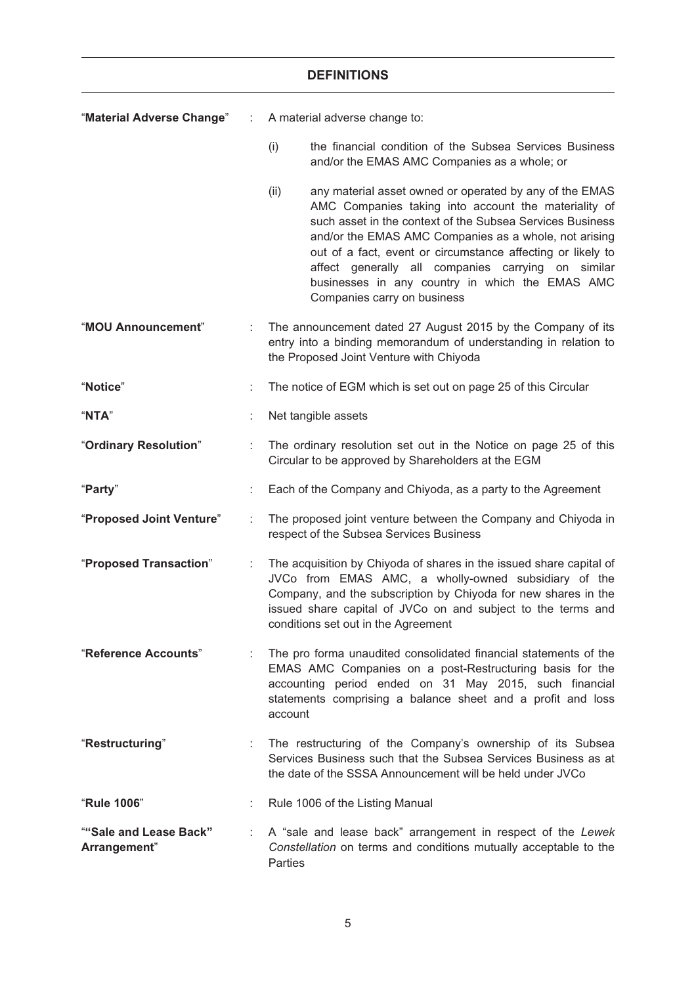|                                        |    | <b>DEFINITIONS</b>                                                                                                                                                                                                                                                                                                                                                                                                                                   |  |  |
|----------------------------------------|----|------------------------------------------------------------------------------------------------------------------------------------------------------------------------------------------------------------------------------------------------------------------------------------------------------------------------------------------------------------------------------------------------------------------------------------------------------|--|--|
| "Material Adverse Change"              | ÷  | A material adverse change to:                                                                                                                                                                                                                                                                                                                                                                                                                        |  |  |
|                                        |    | (i)<br>the financial condition of the Subsea Services Business<br>and/or the EMAS AMC Companies as a whole; or                                                                                                                                                                                                                                                                                                                                       |  |  |
|                                        |    | (ii)<br>any material asset owned or operated by any of the EMAS<br>AMC Companies taking into account the materiality of<br>such asset in the context of the Subsea Services Business<br>and/or the EMAS AMC Companies as a whole, not arising<br>out of a fact, event or circumstance affecting or likely to<br>affect generally all companies carrying on similar<br>businesses in any country in which the EMAS AMC<br>Companies carry on business |  |  |
| "MOU Announcement"                     |    | The announcement dated 27 August 2015 by the Company of its<br>entry into a binding memorandum of understanding in relation to<br>the Proposed Joint Venture with Chiyoda                                                                                                                                                                                                                                                                            |  |  |
| "Notice"                               |    | The notice of EGM which is set out on page 25 of this Circular                                                                                                                                                                                                                                                                                                                                                                                       |  |  |
| "NTA"                                  |    | Net tangible assets                                                                                                                                                                                                                                                                                                                                                                                                                                  |  |  |
| "Ordinary Resolution"                  | ÷  | The ordinary resolution set out in the Notice on page 25 of this<br>Circular to be approved by Shareholders at the EGM                                                                                                                                                                                                                                                                                                                               |  |  |
| "Party"                                |    | Each of the Company and Chiyoda, as a party to the Agreement                                                                                                                                                                                                                                                                                                                                                                                         |  |  |
| "Proposed Joint Venture"               |    | The proposed joint venture between the Company and Chiyoda in<br>respect of the Subsea Services Business                                                                                                                                                                                                                                                                                                                                             |  |  |
| "Proposed Transaction"                 |    | The acquisition by Chiyoda of shares in the issued share capital of<br>JVCo from EMAS AMC, a wholly-owned subsidiary of the<br>Company, and the subscription by Chiyoda for new shares in the<br>issued share capital of JVCo on and subject to the terms and<br>conditions set out in the Agreement                                                                                                                                                 |  |  |
| "Reference Accounts"                   | ÷. | The pro forma unaudited consolidated financial statements of the<br>EMAS AMC Companies on a post-Restructuring basis for the<br>accounting period ended on 31 May 2015, such financial<br>statements comprising a balance sheet and a profit and loss<br>account                                                                                                                                                                                     |  |  |
| "Restructuring"                        |    | The restructuring of the Company's ownership of its Subsea<br>Services Business such that the Subsea Services Business as at<br>the date of the SSSA Announcement will be held under JVCo                                                                                                                                                                                                                                                            |  |  |
| "Rule 1006"                            |    | Rule 1006 of the Listing Manual                                                                                                                                                                                                                                                                                                                                                                                                                      |  |  |
| ""Sale and Lease Back"<br>Arrangement" | ÷. | A "sale and lease back" arrangement in respect of the Lewek<br>Constellation on terms and conditions mutually acceptable to the<br>Parties                                                                                                                                                                                                                                                                                                           |  |  |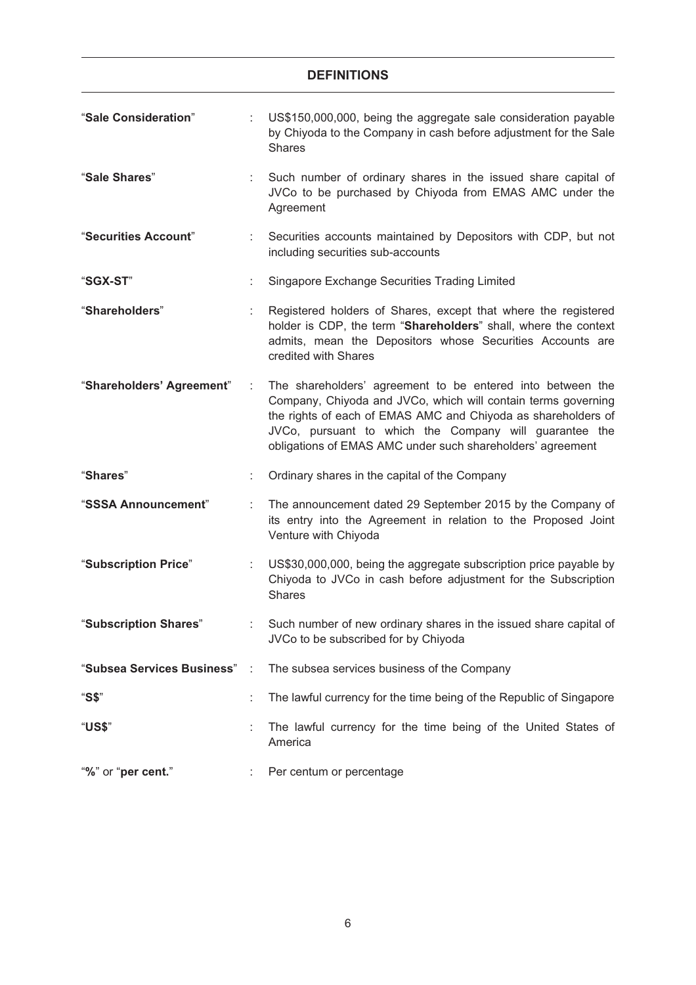# **DEFINITIONS** "**Sale Consideration**" : US\$150,000,000, being the aggregate sale consideration payable by Chiyoda to the Company in cash before adjustment for the Sale Shares "**Sale Shares**" : Such number of ordinary shares in the issued share capital of JVCo to be purchased by Chiyoda from EMAS AMC under the Agreement "**Securities Account**" : Securities accounts maintained by Depositors with CDP, but not including securities sub-accounts "**SGX-ST**" : Singapore Exchange Securities Trading Limited "**Shareholders**" : Registered holders of Shares, except that where the registered holder is CDP, the term "**Shareholders**" shall, where the context admits, mean the Depositors whose Securities Accounts are credited with Shares "**Shareholders' Agreement**" : The shareholders' agreement to be entered into between the Company, Chiyoda and JVCo, which will contain terms governing the rights of each of EMAS AMC and Chiyoda as shareholders of JVCo, pursuant to which the Company will guarantee the obligations of EMAS AMC under such shareholders' agreement "**Shares**" : Ordinary shares in the capital of the Company "**SSSA Announcement**" : The announcement dated 29 September 2015 by the Company of its entry into the Agreement in relation to the Proposed Joint Venture with Chiyoda "**Subscription Price**" : US\$30,000,000, being the aggregate subscription price payable by Chiyoda to JVCo in cash before adjustment for the Subscription Shares "**Subscription Shares**" : Such number of new ordinary shares in the issued share capital of JVCo to be subscribed for by Chiyoda "**Subsea Services Business**" : The subsea services business of the Company "**S\$**" : The lawful currency for the time being of the Republic of Singapore "**US\$**" : The lawful currency for the time being of the United States of America "**%**" or "**per cent.**" : Per centum or percentage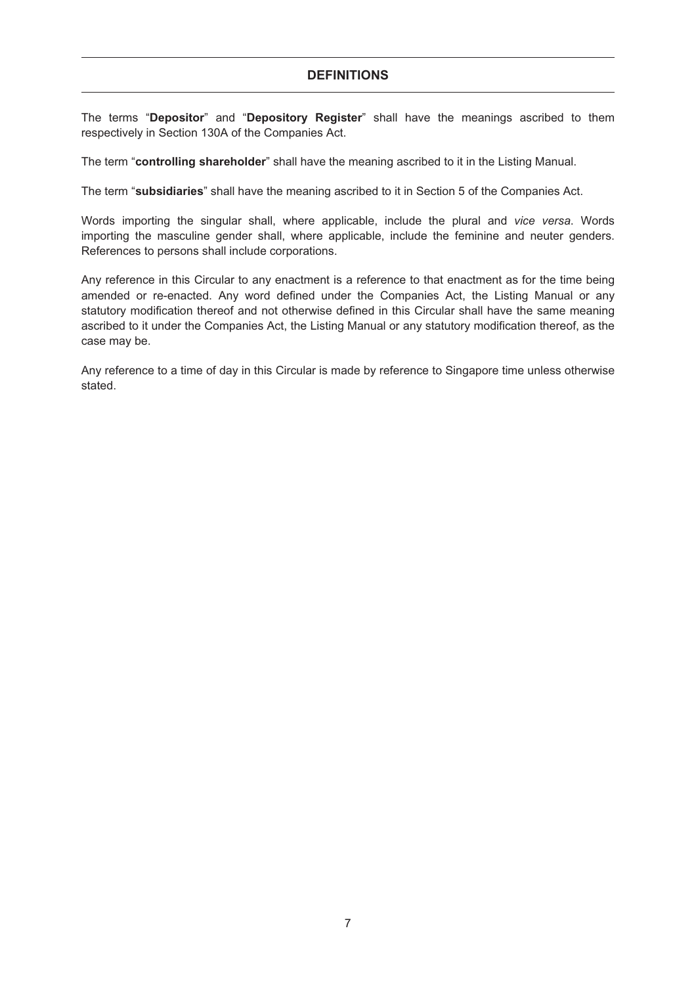The terms "**Depositor**" and "**Depository Register**" shall have the meanings ascribed to them respectively in Section 130A of the Companies Act.

The term "**controlling shareholder**" shall have the meaning ascribed to it in the Listing Manual.

The term "**subsidiaries**" shall have the meaning ascribed to it in Section 5 of the Companies Act.

Words importing the singular shall, where applicable, include the plural and *vice versa*. Words importing the masculine gender shall, where applicable, include the feminine and neuter genders. References to persons shall include corporations.

Any reference in this Circular to any enactment is a reference to that enactment as for the time being amended or re-enacted. Any word defined under the Companies Act, the Listing Manual or any statutory modification thereof and not otherwise defined in this Circular shall have the same meaning ascribed to it under the Companies Act, the Listing Manual or any statutory modification thereof, as the case may be.

Any reference to a time of day in this Circular is made by reference to Singapore time unless otherwise stated.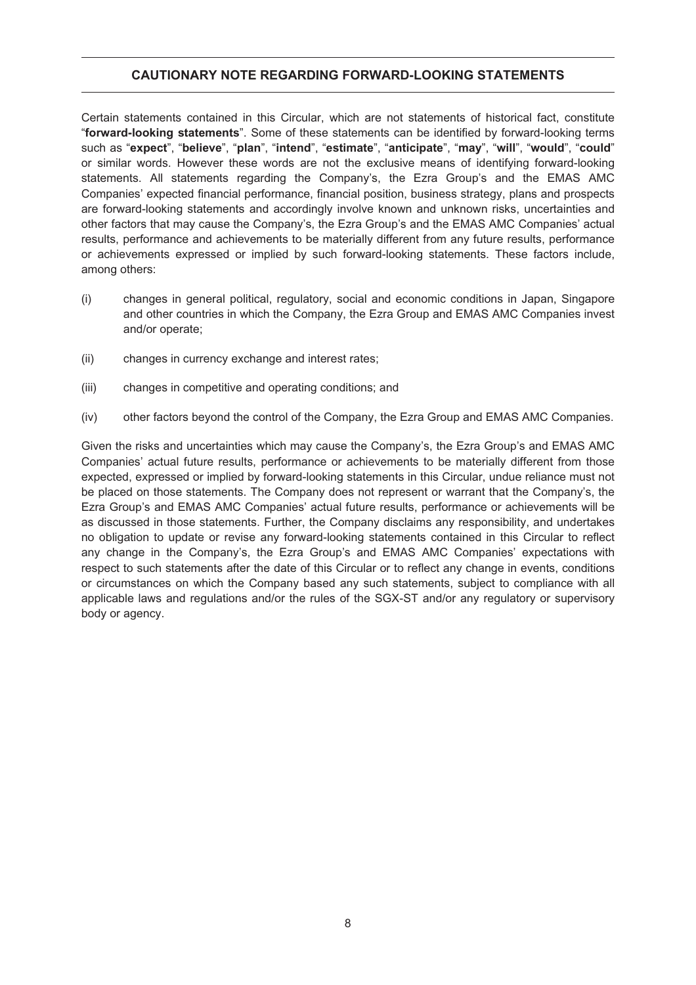#### **CAUTIONARY NOTE REGARDING FORWARD-LOOKING STATEMENTS**

Certain statements contained in this Circular, which are not statements of historical fact, constitute "**forward-looking statements**". Some of these statements can be identified by forward-looking terms such as "**expect**", "**believe**", "**plan**", "**intend**", "**estimate**", "**anticipate**", "**may**", "**will**", "**would**", "**could**" or similar words. However these words are not the exclusive means of identifying forward-looking statements. All statements regarding the Company's, the Ezra Group's and the EMAS AMC Companies' expected financial performance, financial position, business strategy, plans and prospects are forward-looking statements and accordingly involve known and unknown risks, uncertainties and other factors that may cause the Company's, the Ezra Group's and the EMAS AMC Companies' actual results, performance and achievements to be materially different from any future results, performance or achievements expressed or implied by such forward-looking statements. These factors include, among others:

- (i) changes in general political, regulatory, social and economic conditions in Japan, Singapore and other countries in which the Company, the Ezra Group and EMAS AMC Companies invest and/or operate;
- (ii) changes in currency exchange and interest rates;
- (iii) changes in competitive and operating conditions; and
- (iv) other factors beyond the control of the Company, the Ezra Group and EMAS AMC Companies.

Given the risks and uncertainties which may cause the Company's, the Ezra Group's and EMAS AMC Companies' actual future results, performance or achievements to be materially different from those expected, expressed or implied by forward-looking statements in this Circular, undue reliance must not be placed on those statements. The Company does not represent or warrant that the Company's, the Ezra Group's and EMAS AMC Companies' actual future results, performance or achievements will be as discussed in those statements. Further, the Company disclaims any responsibility, and undertakes no obligation to update or revise any forward-looking statements contained in this Circular to reflect any change in the Company's, the Ezra Group's and EMAS AMC Companies' expectations with respect to such statements after the date of this Circular or to reflect any change in events, conditions or circumstances on which the Company based any such statements, subject to compliance with all applicable laws and regulations and/or the rules of the SGX-ST and/or any regulatory or supervisory body or agency.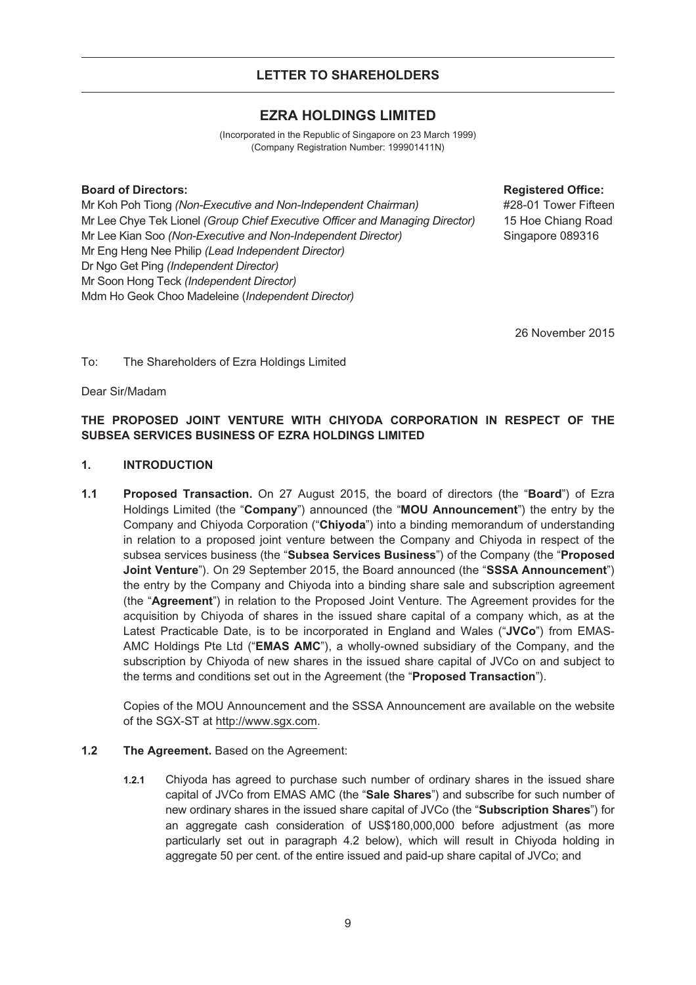#### **LETTER TO SHAREHOLDERS**

#### **EZRA HOLDINGS LIMITED**

(Incorporated in the Republic of Singapore on 23 March 1999) (Company Registration Number: 199901411N)

#### **Board of Directors: Registered Office:**

Mr Koh Poh Tiong *(Non-Executive and Non-Independent Chairman)* Mr Lee Chye Tek Lionel *(Group Chief Executive Officer and Managing Director)* Mr Lee Kian Soo *(Non-Executive and Non-Independent Director)* Mr Eng Heng Nee Philip *(Lead Independent Director)* Dr Ngo Get Ping *(Independent Director)* Mr Soon Hong Teck *(Independent Director)* Mdm Ho Geok Choo Madeleine (*Independent Director)*

#28-01 Tower Fifteen 15 Hoe Chiang Road Singapore 089316

26 November 2015

To: The Shareholders of Ezra Holdings Limited

Dear Sir/Madam

#### **THE PROPOSED JOINT VENTURE WITH CHIYODA CORPORATION IN RESPECT OF THE SUBSEA SERVICES BUSINESS OF EZRA HOLDINGS LIMITED**

#### **1. INTRODUCTION**

**1.1 Proposed Transaction.** On 27 August 2015, the board of directors (the "**Board**") of Ezra Holdings Limited (the "**Company**") announced (the "**MOU Announcement**") the entry by the Company and Chiyoda Corporation ("**Chiyoda**") into a binding memorandum of understanding in relation to a proposed joint venture between the Company and Chiyoda in respect of the subsea services business (the "**Subsea Services Business**") of the Company (the "**Proposed Joint Venture**"). On 29 September 2015, the Board announced (the "**SSSA Announcement**") the entry by the Company and Chiyoda into a binding share sale and subscription agreement (the "**Agreement**") in relation to the Proposed Joint Venture. The Agreement provides for the acquisition by Chiyoda of shares in the issued share capital of a company which, as at the Latest Practicable Date, is to be incorporated in England and Wales ("**JVCo**") from EMAS-AMC Holdings Pte Ltd ("**EMAS AMC**"), a wholly-owned subsidiary of the Company, and the subscription by Chiyoda of new shares in the issued share capital of JVCo on and subject to the terms and conditions set out in the Agreement (the "**Proposed Transaction**").

Copies of the MOU Announcement and the SSSA Announcement are available on the website of the SGX-ST at http://www.sgx.com.

#### **1.2 The Agreement.** Based on the Agreement:

**1.2.1** Chiyoda has agreed to purchase such number of ordinary shares in the issued share capital of JVCo from EMAS AMC (the "**Sale Shares**") and subscribe for such number of new ordinary shares in the issued share capital of JVCo (the "**Subscription Shares**") for an aggregate cash consideration of US\$180,000,000 before adjustment (as more particularly set out in paragraph 4.2 below), which will result in Chiyoda holding in aggregate 50 per cent. of the entire issued and paid-up share capital of JVCo; and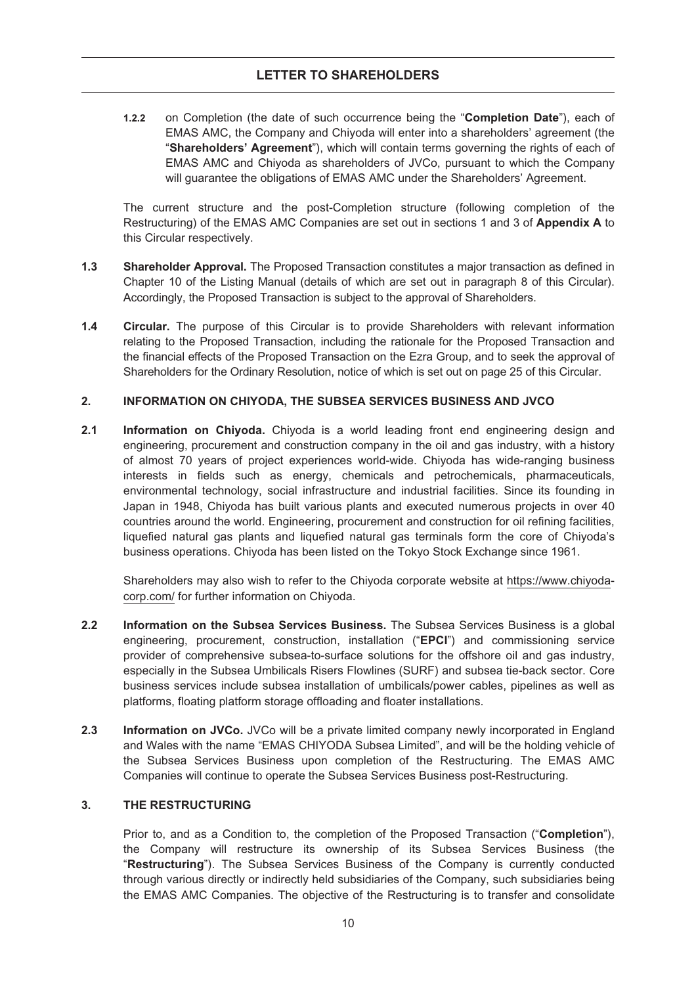**1.2.2** on Completion (the date of such occurrence being the "**Completion Date**"), each of EMAS AMC, the Company and Chiyoda will enter into a shareholders' agreement (the "**Shareholders' Agreement**"), which will contain terms governing the rights of each of EMAS AMC and Chiyoda as shareholders of JVCo, pursuant to which the Company will guarantee the obligations of EMAS AMC under the Shareholders' Agreement.

The current structure and the post-Completion structure (following completion of the Restructuring) of the EMAS AMC Companies are set out in sections 1 and 3 of **Appendix A** to this Circular respectively.

- **1.3 Shareholder Approval.** The Proposed Transaction constitutes a major transaction as defined in Chapter 10 of the Listing Manual (details of which are set out in paragraph 8 of this Circular). Accordingly, the Proposed Transaction is subject to the approval of Shareholders.
- **1.4 Circular.** The purpose of this Circular is to provide Shareholders with relevant information relating to the Proposed Transaction, including the rationale for the Proposed Transaction and the financial effects of the Proposed Transaction on the Ezra Group, and to seek the approval of Shareholders for the Ordinary Resolution, notice of which is set out on page 25 of this Circular.

#### **2. INFORMATION ON CHIYODA, THE SUBSEA SERVICES BUSINESS AND JVCO**

**2.1 Information on Chiyoda.** Chiyoda is a world leading front end engineering design and engineering, procurement and construction company in the oil and gas industry, with a history of almost 70 years of project experiences world-wide. Chiyoda has wide-ranging business interests in fields such as energy, chemicals and petrochemicals, pharmaceuticals, environmental technology, social infrastructure and industrial facilities. Since its founding in Japan in 1948, Chiyoda has built various plants and executed numerous projects in over 40 countries around the world. Engineering, procurement and construction for oil refining facilities, liquefied natural gas plants and liquefied natural gas terminals form the core of Chiyoda's business operations. Chiyoda has been listed on the Tokyo Stock Exchange since 1961.

Shareholders may also wish to refer to the Chiyoda corporate website at https://www.chiyodacorp.com/ for further information on Chiyoda.

- **2.2 Information on the Subsea Services Business.** The Subsea Services Business is a global engineering, procurement, construction, installation ("**EPCI**") and commissioning service provider of comprehensive subsea-to-surface solutions for the offshore oil and gas industry, especially in the Subsea Umbilicals Risers Flowlines (SURF) and subsea tie-back sector. Core business services include subsea installation of umbilicals/power cables, pipelines as well as platforms, floating platform storage offloading and floater installations.
- **2.3 Information on JVCo.** JVCo will be a private limited company newly incorporated in England and Wales with the name "EMAS CHIYODA Subsea Limited", and will be the holding vehicle of the Subsea Services Business upon completion of the Restructuring. The EMAS AMC Companies will continue to operate the Subsea Services Business post-Restructuring.

#### **3. THE RESTRUCTURING**

Prior to, and as a Condition to, the completion of the Proposed Transaction ("**Completion**"), the Company will restructure its ownership of its Subsea Services Business (the "**Restructuring**"). The Subsea Services Business of the Company is currently conducted through various directly or indirectly held subsidiaries of the Company, such subsidiaries being the EMAS AMC Companies. The objective of the Restructuring is to transfer and consolidate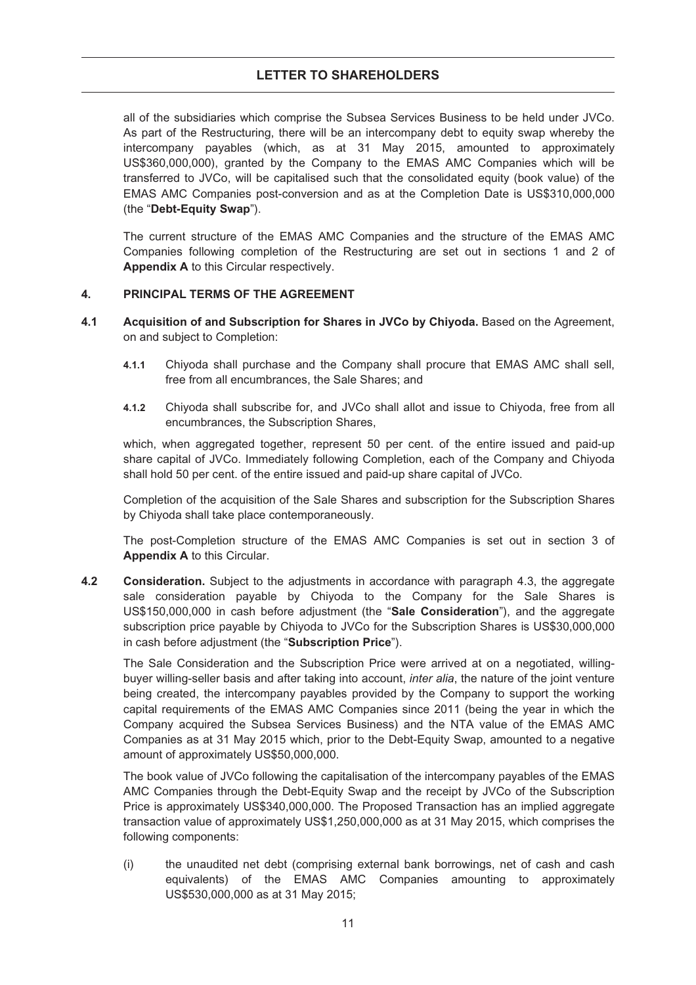#### **LETTER TO SHAREHOLDERS**

all of the subsidiaries which comprise the Subsea Services Business to be held under JVCo. As part of the Restructuring, there will be an intercompany debt to equity swap whereby the intercompany payables (which, as at 31 May 2015, amounted to approximately US\$360,000,000), granted by the Company to the EMAS AMC Companies which will be transferred to JVCo, will be capitalised such that the consolidated equity (book value) of the EMAS AMC Companies post-conversion and as at the Completion Date is US\$310,000,000 (the "**Debt-Equity Swap**").

The current structure of the EMAS AMC Companies and the structure of the EMAS AMC Companies following completion of the Restructuring are set out in sections 1 and 2 of **Appendix A** to this Circular respectively.

#### **4. PRINCIPAL TERMS OF THE AGREEMENT**

- **4.1 Acquisition of and Subscription for Shares in JVCo by Chiyoda.** Based on the Agreement, on and subject to Completion:
	- **4.1.1** Chiyoda shall purchase and the Company shall procure that EMAS AMC shall sell, free from all encumbrances, the Sale Shares; and
	- **4.1.2** Chiyoda shall subscribe for, and JVCo shall allot and issue to Chiyoda, free from all encumbrances, the Subscription Shares,

which, when aggregated together, represent 50 per cent. of the entire issued and paid-up share capital of JVCo. Immediately following Completion, each of the Company and Chiyoda shall hold 50 per cent. of the entire issued and paid-up share capital of JVCo.

Completion of the acquisition of the Sale Shares and subscription for the Subscription Shares by Chiyoda shall take place contemporaneously.

The post-Completion structure of the EMAS AMC Companies is set out in section 3 of **Appendix A** to this Circular.

**4.2 Consideration.** Subject to the adjustments in accordance with paragraph 4.3, the aggregate sale consideration payable by Chiyoda to the Company for the Sale Shares is US\$150,000,000 in cash before adjustment (the "**Sale Consideration**"), and the aggregate subscription price payable by Chiyoda to JVCo for the Subscription Shares is US\$30,000,000 in cash before adjustment (the "**Subscription Price**").

The Sale Consideration and the Subscription Price were arrived at on a negotiated, willingbuyer willing-seller basis and after taking into account, *inter alia*, the nature of the joint venture being created, the intercompany payables provided by the Company to support the working capital requirements of the EMAS AMC Companies since 2011 (being the year in which the Company acquired the Subsea Services Business) and the NTA value of the EMAS AMC Companies as at 31 May 2015 which, prior to the Debt-Equity Swap, amounted to a negative amount of approximately US\$50,000,000.

The book value of JVCo following the capitalisation of the intercompany payables of the EMAS AMC Companies through the Debt-Equity Swap and the receipt by JVCo of the Subscription Price is approximately US\$340,000,000. The Proposed Transaction has an implied aggregate transaction value of approximately US\$1,250,000,000 as at 31 May 2015, which comprises the following components:

(i) the unaudited net debt (comprising external bank borrowings, net of cash and cash equivalents) of the EMAS AMC Companies amounting to approximately US\$530,000,000 as at 31 May 2015;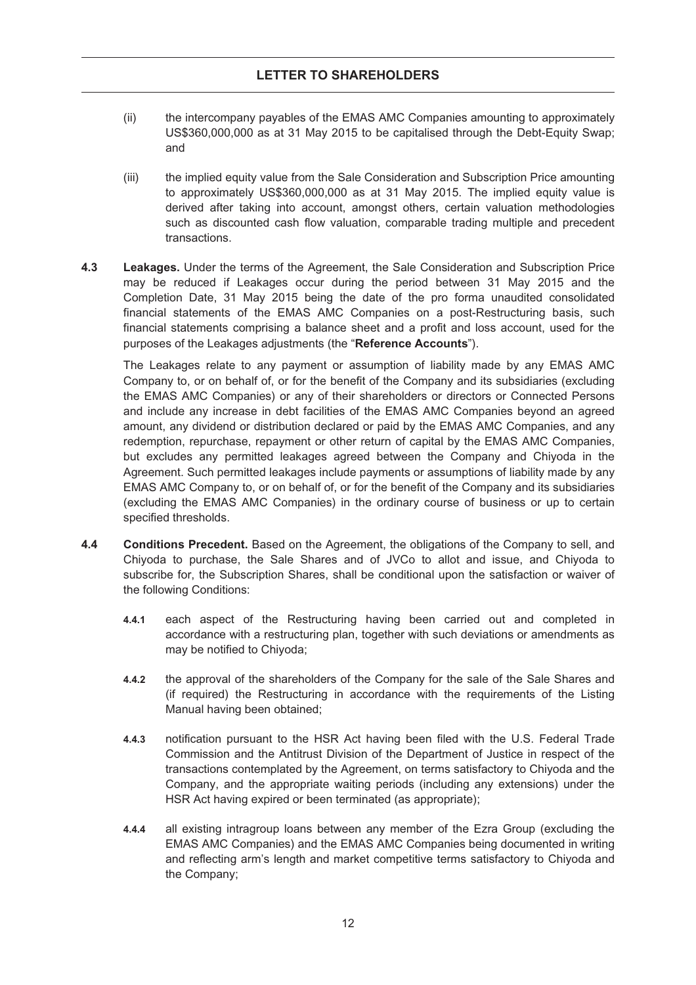- (ii) the intercompany payables of the EMAS AMC Companies amounting to approximately US\$360,000,000 as at 31 May 2015 to be capitalised through the Debt-Equity Swap; and
- (iii) the implied equity value from the Sale Consideration and Subscription Price amounting to approximately US\$360,000,000 as at 31 May 2015. The implied equity value is derived after taking into account, amongst others, certain valuation methodologies such as discounted cash flow valuation, comparable trading multiple and precedent transactions.
- **4.3 Leakages.** Under the terms of the Agreement, the Sale Consideration and Subscription Price may be reduced if Leakages occur during the period between 31 May 2015 and the Completion Date, 31 May 2015 being the date of the pro forma unaudited consolidated financial statements of the EMAS AMC Companies on a post-Restructuring basis, such financial statements comprising a balance sheet and a profit and loss account, used for the purposes of the Leakages adjustments (the "**Reference Accounts**").

The Leakages relate to any payment or assumption of liability made by any EMAS AMC Company to, or on behalf of, or for the benefit of the Company and its subsidiaries (excluding the EMAS AMC Companies) or any of their shareholders or directors or Connected Persons and include any increase in debt facilities of the EMAS AMC Companies beyond an agreed amount, any dividend or distribution declared or paid by the EMAS AMC Companies, and any redemption, repurchase, repayment or other return of capital by the EMAS AMC Companies, but excludes any permitted leakages agreed between the Company and Chiyoda in the Agreement. Such permitted leakages include payments or assumptions of liability made by any EMAS AMC Company to, or on behalf of, or for the benefit of the Company and its subsidiaries (excluding the EMAS AMC Companies) in the ordinary course of business or up to certain specified thresholds.

- **4.4 Conditions Precedent.** Based on the Agreement, the obligations of the Company to sell, and Chiyoda to purchase, the Sale Shares and of JVCo to allot and issue, and Chiyoda to subscribe for, the Subscription Shares, shall be conditional upon the satisfaction or waiver of the following Conditions:
	- **4.4.1** each aspect of the Restructuring having been carried out and completed in accordance with a restructuring plan, together with such deviations or amendments as may be notified to Chiyoda;
	- **4.4.2** the approval of the shareholders of the Company for the sale of the Sale Shares and (if required) the Restructuring in accordance with the requirements of the Listing Manual having been obtained;
	- **4.4.3** notification pursuant to the HSR Act having been filed with the U.S. Federal Trade Commission and the Antitrust Division of the Department of Justice in respect of the transactions contemplated by the Agreement, on terms satisfactory to Chiyoda and the Company, and the appropriate waiting periods (including any extensions) under the HSR Act having expired or been terminated (as appropriate);
	- **4.4.4** all existing intragroup loans between any member of the Ezra Group (excluding the EMAS AMC Companies) and the EMAS AMC Companies being documented in writing and reflecting arm's length and market competitive terms satisfactory to Chiyoda and the Company;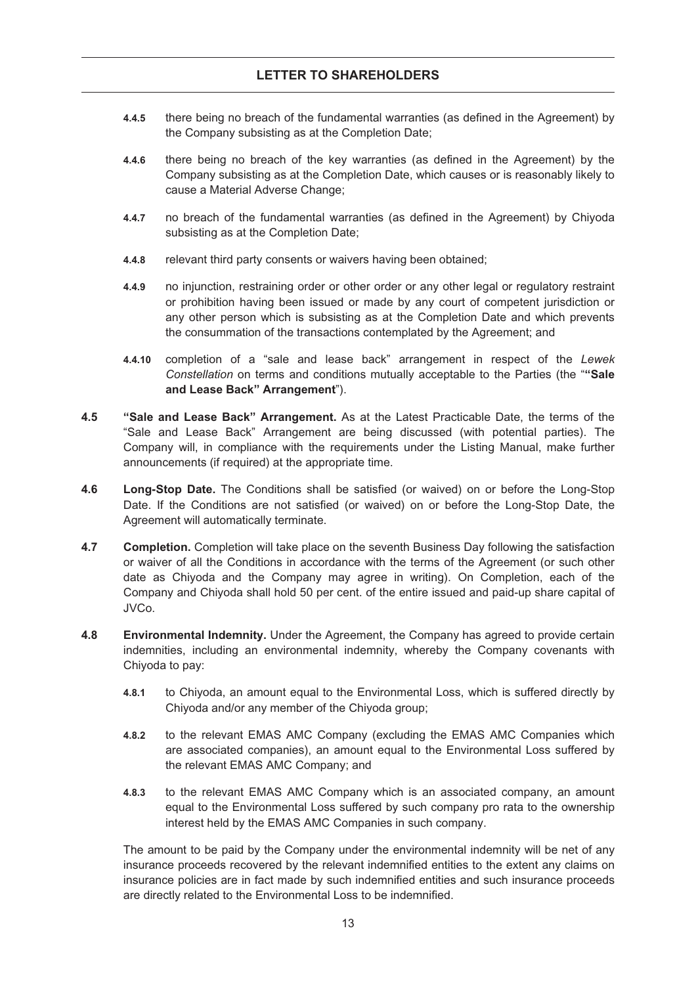- **4.4.5** there being no breach of the fundamental warranties (as defined in the Agreement) by the Company subsisting as at the Completion Date;
- **4.4.6** there being no breach of the key warranties (as defined in the Agreement) by the Company subsisting as at the Completion Date, which causes or is reasonably likely to cause a Material Adverse Change;
- **4.4.7** no breach of the fundamental warranties (as defined in the Agreement) by Chiyoda subsisting as at the Completion Date;
- **4.4.8** relevant third party consents or waivers having been obtained;
- **4.4.9** no injunction, restraining order or other order or any other legal or regulatory restraint or prohibition having been issued or made by any court of competent jurisdiction or any other person which is subsisting as at the Completion Date and which prevents the consummation of the transactions contemplated by the Agreement; and
- **4.4.10** completion of a "sale and lease back" arrangement in respect of the *Lewek Constellation* on terms and conditions mutually acceptable to the Parties (the "**"Sale and Lease Back" Arrangement**").
- **4.5 "Sale and Lease Back" Arrangement.** As at the Latest Practicable Date, the terms of the "Sale and Lease Back" Arrangement are being discussed (with potential parties). The Company will, in compliance with the requirements under the Listing Manual, make further announcements (if required) at the appropriate time.
- **4.6 Long-Stop Date.** The Conditions shall be satisfied (or waived) on or before the Long-Stop Date. If the Conditions are not satisfied (or waived) on or before the Long-Stop Date, the Agreement will automatically terminate.
- **4.7 Completion.** Completion will take place on the seventh Business Day following the satisfaction or waiver of all the Conditions in accordance with the terms of the Agreement (or such other date as Chiyoda and the Company may agree in writing). On Completion, each of the Company and Chiyoda shall hold 50 per cent. of the entire issued and paid-up share capital of JVCo.
- **4.8 Environmental Indemnity.** Under the Agreement, the Company has agreed to provide certain indemnities, including an environmental indemnity, whereby the Company covenants with Chiyoda to pay:
	- **4.8.1** to Chiyoda, an amount equal to the Environmental Loss, which is suffered directly by Chiyoda and/or any member of the Chiyoda group;
	- **4.8.2** to the relevant EMAS AMC Company (excluding the EMAS AMC Companies which are associated companies), an amount equal to the Environmental Loss suffered by the relevant EMAS AMC Company; and
	- **4.8.3** to the relevant EMAS AMC Company which is an associated company, an amount equal to the Environmental Loss suffered by such company pro rata to the ownership interest held by the EMAS AMC Companies in such company.

The amount to be paid by the Company under the environmental indemnity will be net of any insurance proceeds recovered by the relevant indemnified entities to the extent any claims on insurance policies are in fact made by such indemnified entities and such insurance proceeds are directly related to the Environmental Loss to be indemnified.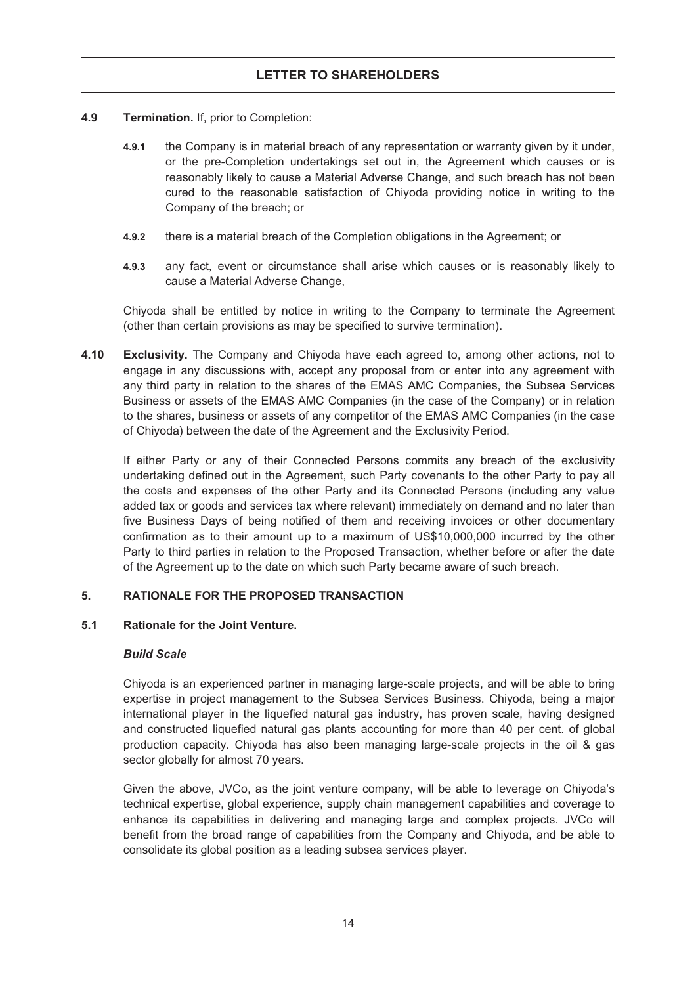- **4.9 Termination.** If, prior to Completion:
	- **4.9.1** the Company is in material breach of any representation or warranty given by it under, or the pre-Completion undertakings set out in, the Agreement which causes or is reasonably likely to cause a Material Adverse Change, and such breach has not been cured to the reasonable satisfaction of Chiyoda providing notice in writing to the Company of the breach; or
	- **4.9.2** there is a material breach of the Completion obligations in the Agreement; or
	- **4.9.3** any fact, event or circumstance shall arise which causes or is reasonably likely to cause a Material Adverse Change,

Chiyoda shall be entitled by notice in writing to the Company to terminate the Agreement (other than certain provisions as may be specified to survive termination).

**4.10 Exclusivity.** The Company and Chiyoda have each agreed to, among other actions, not to engage in any discussions with, accept any proposal from or enter into any agreement with any third party in relation to the shares of the EMAS AMC Companies, the Subsea Services Business or assets of the EMAS AMC Companies (in the case of the Company) or in relation to the shares, business or assets of any competitor of the EMAS AMC Companies (in the case of Chiyoda) between the date of the Agreement and the Exclusivity Period.

If either Party or any of their Connected Persons commits any breach of the exclusivity undertaking defined out in the Agreement, such Party covenants to the other Party to pay all the costs and expenses of the other Party and its Connected Persons (including any value added tax or goods and services tax where relevant) immediately on demand and no later than five Business Days of being notified of them and receiving invoices or other documentary confirmation as to their amount up to a maximum of US\$10,000,000 incurred by the other Party to third parties in relation to the Proposed Transaction, whether before or after the date of the Agreement up to the date on which such Party became aware of such breach.

#### **5. RATIONALE FOR THE PROPOSED TRANSACTION**

#### **5.1 Rationale for the Joint Venture.**

#### *Build Scale*

Chiyoda is an experienced partner in managing large-scale projects, and will be able to bring expertise in project management to the Subsea Services Business. Chiyoda, being a major international player in the liquefied natural gas industry, has proven scale, having designed and constructed liquefied natural gas plants accounting for more than 40 per cent. of global production capacity. Chiyoda has also been managing large-scale projects in the oil & gas sector globally for almost 70 years.

Given the above, JVCo, as the joint venture company, will be able to leverage on Chiyoda's technical expertise, global experience, supply chain management capabilities and coverage to enhance its capabilities in delivering and managing large and complex projects. JVCo will benefit from the broad range of capabilities from the Company and Chiyoda, and be able to consolidate its global position as a leading subsea services player.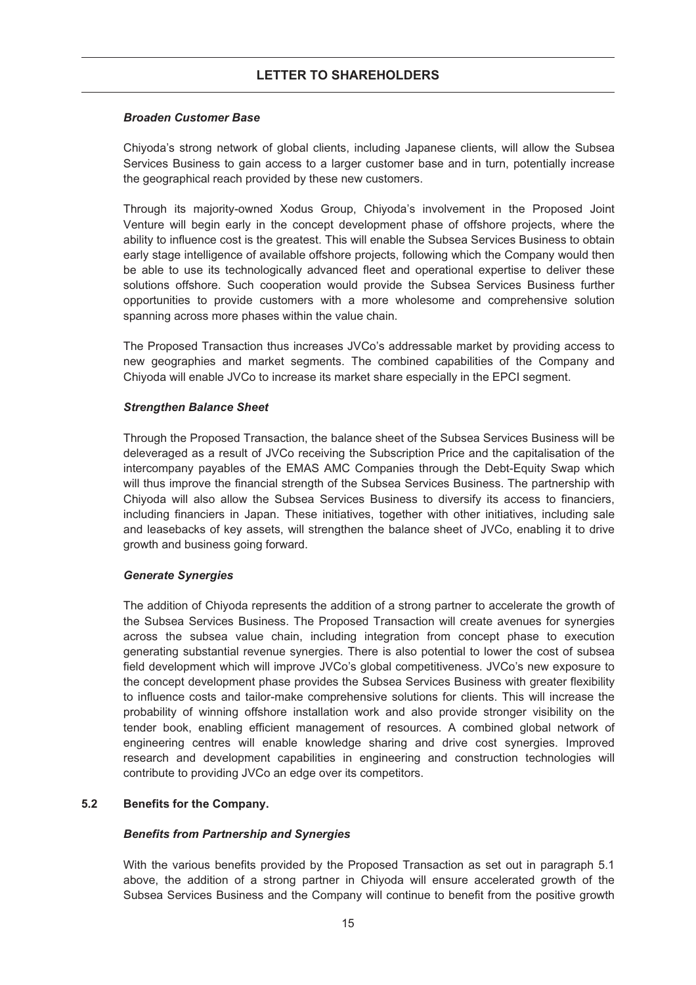#### *Broaden Customer Base*

Chiyoda's strong network of global clients, including Japanese clients, will allow the Subsea Services Business to gain access to a larger customer base and in turn, potentially increase the geographical reach provided by these new customers.

Through its majority-owned Xodus Group, Chiyoda's involvement in the Proposed Joint Venture will begin early in the concept development phase of offshore projects, where the ability to influence cost is the greatest. This will enable the Subsea Services Business to obtain early stage intelligence of available offshore projects, following which the Company would then be able to use its technologically advanced fleet and operational expertise to deliver these solutions offshore. Such cooperation would provide the Subsea Services Business further opportunities to provide customers with a more wholesome and comprehensive solution spanning across more phases within the value chain.

The Proposed Transaction thus increases JVCo's addressable market by providing access to new geographies and market segments. The combined capabilities of the Company and Chiyoda will enable JVCo to increase its market share especially in the EPCI segment.

#### *Strengthen Balance Sheet*

Through the Proposed Transaction, the balance sheet of the Subsea Services Business will be deleveraged as a result of JVCo receiving the Subscription Price and the capitalisation of the intercompany payables of the EMAS AMC Companies through the Debt-Equity Swap which will thus improve the financial strength of the Subsea Services Business. The partnership with Chiyoda will also allow the Subsea Services Business to diversify its access to financiers, including financiers in Japan. These initiatives, together with other initiatives, including sale and leasebacks of key assets, will strengthen the balance sheet of JVCo, enabling it to drive growth and business going forward.

#### *Generate Synergies*

The addition of Chiyoda represents the addition of a strong partner to accelerate the growth of the Subsea Services Business. The Proposed Transaction will create avenues for synergies across the subsea value chain, including integration from concept phase to execution generating substantial revenue synergies. There is also potential to lower the cost of subsea field development which will improve JVCo's global competitiveness. JVCo's new exposure to the concept development phase provides the Subsea Services Business with greater flexibility to influence costs and tailor-make comprehensive solutions for clients. This will increase the probability of winning offshore installation work and also provide stronger visibility on the tender book, enabling efficient management of resources. A combined global network of engineering centres will enable knowledge sharing and drive cost synergies. Improved research and development capabilities in engineering and construction technologies will contribute to providing JVCo an edge over its competitors.

#### **5.2 Benefits for the Company.**

#### *Benefits from Partnership and Synergies*

With the various benefits provided by the Proposed Transaction as set out in paragraph 5.1 above, the addition of a strong partner in Chiyoda will ensure accelerated growth of the Subsea Services Business and the Company will continue to benefit from the positive growth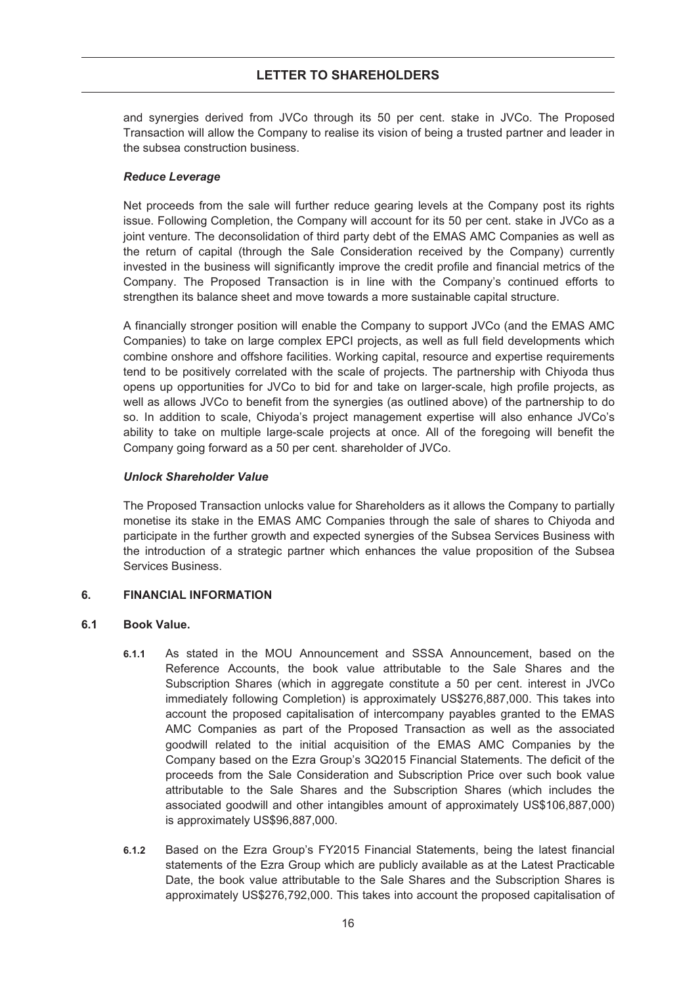#### **LETTER TO SHAREHOLDERS**

and synergies derived from JVCo through its 50 per cent. stake in JVCo. The Proposed Transaction will allow the Company to realise its vision of being a trusted partner and leader in the subsea construction business.

#### *Reduce Leverage*

Net proceeds from the sale will further reduce gearing levels at the Company post its rights issue. Following Completion, the Company will account for its 50 per cent. stake in JVCo as a joint venture. The deconsolidation of third party debt of the EMAS AMC Companies as well as the return of capital (through the Sale Consideration received by the Company) currently invested in the business will significantly improve the credit profile and financial metrics of the Company. The Proposed Transaction is in line with the Company's continued efforts to strengthen its balance sheet and move towards a more sustainable capital structure.

A financially stronger position will enable the Company to support JVCo (and the EMAS AMC Companies) to take on large complex EPCI projects, as well as full field developments which combine onshore and offshore facilities. Working capital, resource and expertise requirements tend to be positively correlated with the scale of projects. The partnership with Chiyoda thus opens up opportunities for JVCo to bid for and take on larger-scale, high profile projects, as well as allows JVCo to benefit from the synergies (as outlined above) of the partnership to do so. In addition to scale, Chiyoda's project management expertise will also enhance JVCo's ability to take on multiple large-scale projects at once. All of the foregoing will benefit the Company going forward as a 50 per cent. shareholder of JVCo.

#### *Unlock Shareholder Value*

The Proposed Transaction unlocks value for Shareholders as it allows the Company to partially monetise its stake in the EMAS AMC Companies through the sale of shares to Chiyoda and participate in the further growth and expected synergies of the Subsea Services Business with the introduction of a strategic partner which enhances the value proposition of the Subsea Services Business.

#### **6. FINANCIAL INFORMATION**

#### **6.1 Book Value.**

- **6.1.1** As stated in the MOU Announcement and SSSA Announcement, based on the Reference Accounts, the book value attributable to the Sale Shares and the Subscription Shares (which in aggregate constitute a 50 per cent. interest in JVCo immediately following Completion) is approximately US\$276,887,000. This takes into account the proposed capitalisation of intercompany payables granted to the EMAS AMC Companies as part of the Proposed Transaction as well as the associated goodwill related to the initial acquisition of the EMAS AMC Companies by the Company based on the Ezra Group's 3Q2015 Financial Statements. The deficit of the proceeds from the Sale Consideration and Subscription Price over such book value attributable to the Sale Shares and the Subscription Shares (which includes the associated goodwill and other intangibles amount of approximately US\$106,887,000) is approximately US\$96,887,000.
- **6.1.2** Based on the Ezra Group's FY2015 Financial Statements, being the latest financial statements of the Ezra Group which are publicly available as at the Latest Practicable Date, the book value attributable to the Sale Shares and the Subscription Shares is approximately US\$276,792,000. This takes into account the proposed capitalisation of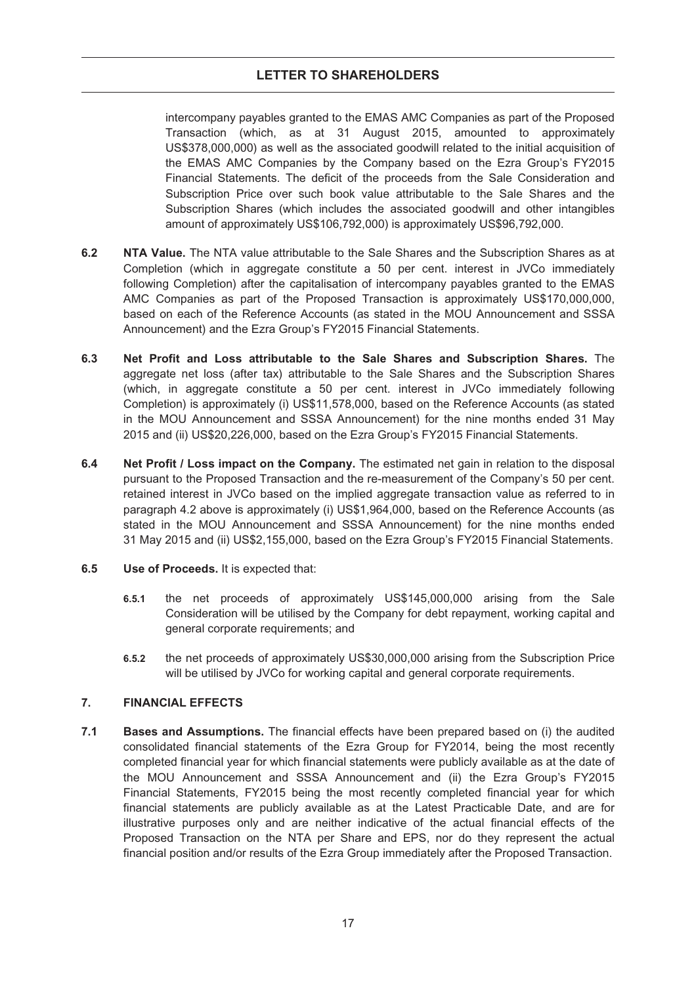intercompany payables granted to the EMAS AMC Companies as part of the Proposed Transaction (which, as at 31 August 2015, amounted to approximately US\$378,000,000) as well as the associated goodwill related to the initial acquisition of the EMAS AMC Companies by the Company based on the Ezra Group's FY2015 Financial Statements. The deficit of the proceeds from the Sale Consideration and Subscription Price over such book value attributable to the Sale Shares and the Subscription Shares (which includes the associated goodwill and other intangibles amount of approximately US\$106,792,000) is approximately US\$96,792,000.

- **6.2 NTA Value.** The NTA value attributable to the Sale Shares and the Subscription Shares as at Completion (which in aggregate constitute a 50 per cent. interest in JVCo immediately following Completion) after the capitalisation of intercompany payables granted to the EMAS AMC Companies as part of the Proposed Transaction is approximately US\$170,000,000, based on each of the Reference Accounts (as stated in the MOU Announcement and SSSA Announcement) and the Ezra Group's FY2015 Financial Statements.
- **6.3 Net Profit and Loss attributable to the Sale Shares and Subscription Shares.** The aggregate net loss (after tax) attributable to the Sale Shares and the Subscription Shares (which, in aggregate constitute a 50 per cent. interest in JVCo immediately following Completion) is approximately (i) US\$11,578,000, based on the Reference Accounts (as stated in the MOU Announcement and SSSA Announcement) for the nine months ended 31 May 2015 and (ii) US\$20,226,000, based on the Ezra Group's FY2015 Financial Statements.
- **6.4 Net Profit / Loss impact on the Company.** The estimated net gain in relation to the disposal pursuant to the Proposed Transaction and the re-measurement of the Company's 50 per cent. retained interest in JVCo based on the implied aggregate transaction value as referred to in paragraph 4.2 above is approximately (i) US\$1,964,000, based on the Reference Accounts (as stated in the MOU Announcement and SSSA Announcement) for the nine months ended 31 May 2015 and (ii) US\$2,155,000, based on the Ezra Group's FY2015 Financial Statements.
- **6.5 Use of Proceeds.** It is expected that:
	- **6.5.1** the net proceeds of approximately US\$145,000,000 arising from the Sale Consideration will be utilised by the Company for debt repayment, working capital and general corporate requirements; and
	- **6.5.2** the net proceeds of approximately US\$30,000,000 arising from the Subscription Price will be utilised by JVCo for working capital and general corporate requirements.

#### **7. FINANCIAL EFFECTS**

**7.1 Bases and Assumptions.** The financial effects have been prepared based on (i) the audited consolidated financial statements of the Ezra Group for FY2014, being the most recently completed financial year for which financial statements were publicly available as at the date of the MOU Announcement and SSSA Announcement and (ii) the Ezra Group's FY2015 Financial Statements, FY2015 being the most recently completed financial year for which financial statements are publicly available as at the Latest Practicable Date, and are for illustrative purposes only and are neither indicative of the actual financial effects of the Proposed Transaction on the NTA per Share and EPS, nor do they represent the actual financial position and/or results of the Ezra Group immediately after the Proposed Transaction.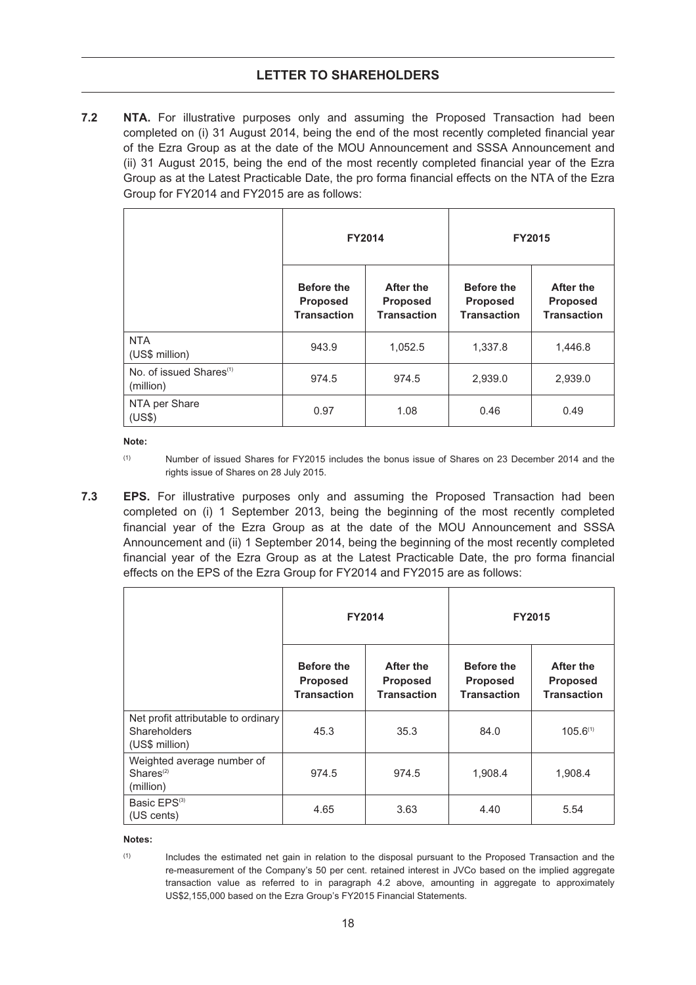#### **LETTER TO SHAREHOLDERS**

**7.2 NTA.** For illustrative purposes only and assuming the Proposed Transaction had been completed on (i) 31 August 2014, being the end of the most recently completed financial year of the Ezra Group as at the date of the MOU Announcement and SSSA Announcement and (ii) 31 August 2015, being the end of the most recently completed financial year of the Ezra Group as at the Latest Practicable Date, the pro forma financial effects on the NTA of the Ezra Group for FY2014 and FY2015 are as follows:

|                                                  | <b>FY2014</b>                                              |                                                           | <b>FY2015</b>                                       |                                                    |  |
|--------------------------------------------------|------------------------------------------------------------|-----------------------------------------------------------|-----------------------------------------------------|----------------------------------------------------|--|
|                                                  | <b>Before the</b><br><b>Proposed</b><br><b>Transaction</b> | <b>After the</b><br><b>Proposed</b><br><b>Transaction</b> | <b>Before the</b><br>Proposed<br><b>Transaction</b> | After the<br><b>Proposed</b><br><b>Transaction</b> |  |
| <b>NTA</b><br>(US\$ million)                     | 943.9                                                      | 1,052.5                                                   | 1,337.8                                             | 1,446.8                                            |  |
| No. of issued Shares <sup>(1)</sup><br>(million) | 974.5                                                      | 974.5                                                     | 2,939.0                                             | 2,939.0                                            |  |
| NTA per Share<br>(US\$)                          | 0.97                                                       | 1.08                                                      | 0.46                                                | 0.49                                               |  |

**Note:**

**7.3 EPS.** For illustrative purposes only and assuming the Proposed Transaction had been completed on (i) 1 September 2013, being the beginning of the most recently completed financial year of the Ezra Group as at the date of the MOU Announcement and SSSA Announcement and (ii) 1 September 2014, being the beginning of the most recently completed financial year of the Ezra Group as at the Latest Practicable Date, the pro forma financial effects on the EPS of the Ezra Group for FY2014 and FY2015 are as follows:

|                                                                              | <b>FY2014</b>                                              |                                                    | FY2015                                                     |                                                    |
|------------------------------------------------------------------------------|------------------------------------------------------------|----------------------------------------------------|------------------------------------------------------------|----------------------------------------------------|
|                                                                              | <b>Before the</b><br><b>Proposed</b><br><b>Transaction</b> | After the<br><b>Proposed</b><br><b>Transaction</b> | <b>Before the</b><br><b>Proposed</b><br><b>Transaction</b> | After the<br><b>Proposed</b><br><b>Transaction</b> |
| Net profit attributable to ordinary<br><b>Shareholders</b><br>(US\$ million) | 45.3                                                       | 35.3                                               | 84.0                                                       | $105.6^{(1)}$                                      |
| Weighted average number of<br>Shares <sup>(2)</sup><br>(million)             | 974.5                                                      | 974.5                                              | 1,908.4                                                    | 1,908.4                                            |
| Basic EPS <sup>(3)</sup><br>(US cents)                                       | 4.65                                                       | 3.63                                               | 4.40                                                       | 5.54                                               |

**Notes:**

<sup>(1)</sup> Number of issued Shares for FY2015 includes the bonus issue of Shares on 23 December 2014 and the rights issue of Shares on 28 July 2015.

<sup>(1)</sup> Includes the estimated net gain in relation to the disposal pursuant to the Proposed Transaction and the re-measurement of the Company's 50 per cent. retained interest in JVCo based on the implied aggregate transaction value as referred to in paragraph 4.2 above, amounting in aggregate to approximately US\$2,155,000 based on the Ezra Group's FY2015 Financial Statements.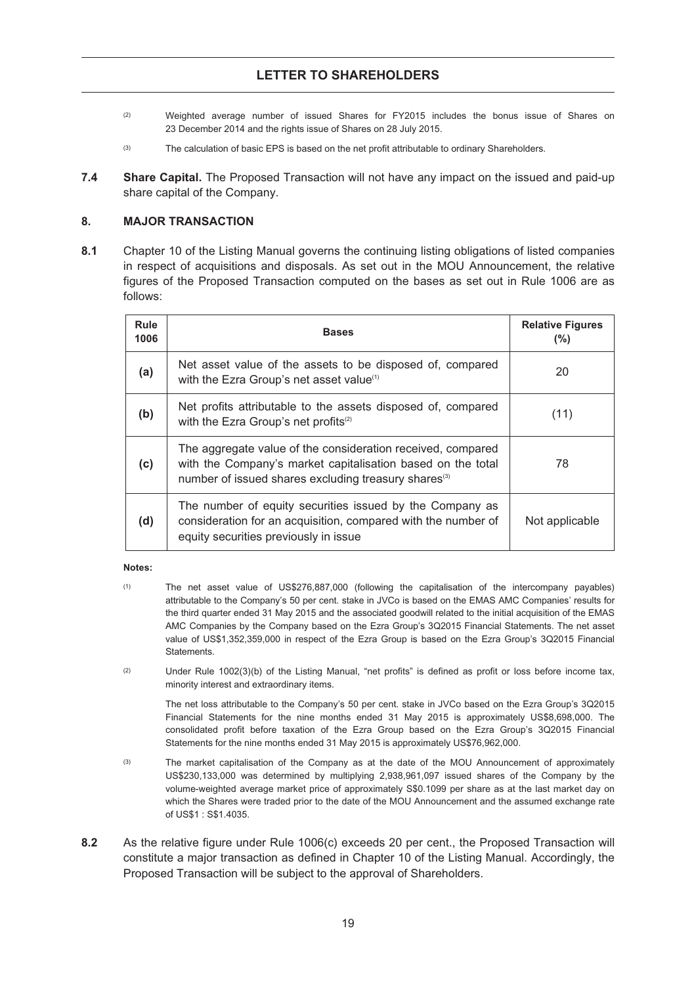- (2) Weighted average number of issued Shares for FY2015 includes the bonus issue of Shares on 23 December 2014 and the rights issue of Shares on 28 July 2015.
- (3) The calculation of basic EPS is based on the net profit attributable to ordinary Shareholders.
- **7.4 Share Capital.** The Proposed Transaction will not have any impact on the issued and paid-up share capital of the Company.

#### **8. MAJOR TRANSACTION**

**8.1** Chapter 10 of the Listing Manual governs the continuing listing obligations of listed companies in respect of acquisitions and disposals. As set out in the MOU Announcement, the relative figures of the Proposed Transaction computed on the bases as set out in Rule 1006 are as follows:

| <b>Rule</b><br>1006 | <b>Bases</b>                                                                                                                                                                                   | <b>Relative Figures</b><br>(%) |
|---------------------|------------------------------------------------------------------------------------------------------------------------------------------------------------------------------------------------|--------------------------------|
| (a)                 | Net asset value of the assets to be disposed of, compared<br>with the Ezra Group's net asset value <sup>(1)</sup>                                                                              | 20                             |
| (b)                 | Net profits attributable to the assets disposed of, compared<br>with the Ezra Group's net profits <sup>(2)</sup>                                                                               | (11)                           |
| (c)                 | The aggregate value of the consideration received, compared<br>with the Company's market capitalisation based on the total<br>number of issued shares excluding treasury shares <sup>(3)</sup> | 78                             |
| (d)                 | The number of equity securities issued by the Company as<br>consideration for an acquisition, compared with the number of<br>equity securities previously in issue                             | Not applicable                 |

#### **Notes:**

- (1) The net asset value of US\$276,887,000 (following the capitalisation of the intercompany payables) attributable to the Company's 50 per cent. stake in JVCo is based on the EMAS AMC Companies' results for the third quarter ended 31 May 2015 and the associated goodwill related to the initial acquisition of the EMAS AMC Companies by the Company based on the Ezra Group's 3Q2015 Financial Statements. The net asset value of US\$1,352,359,000 in respect of the Ezra Group is based on the Ezra Group's 3Q2015 Financial **Statements**
- (2) Under Rule 1002(3)(b) of the Listing Manual, "net profits" is defined as profit or loss before income tax, minority interest and extraordinary items.

The net loss attributable to the Company's 50 per cent. stake in JVCo based on the Ezra Group's 3Q2015 Financial Statements for the nine months ended 31 May 2015 is approximately US\$8,698,000. The consolidated profit before taxation of the Ezra Group based on the Ezra Group's 3Q2015 Financial Statements for the nine months ended 31 May 2015 is approximately US\$76,962,000.

- (3) The market capitalisation of the Company as at the date of the MOU Announcement of approximately US\$230,133,000 was determined by multiplying 2,938,961,097 issued shares of the Company by the volume-weighted average market price of approximately S\$0.1099 per share as at the last market day on which the Shares were traded prior to the date of the MOU Announcement and the assumed exchange rate of US\$1 : S\$1.4035.
- **8.2** As the relative figure under Rule 1006(c) exceeds 20 per cent., the Proposed Transaction will constitute a major transaction as defined in Chapter 10 of the Listing Manual. Accordingly, the Proposed Transaction will be subject to the approval of Shareholders.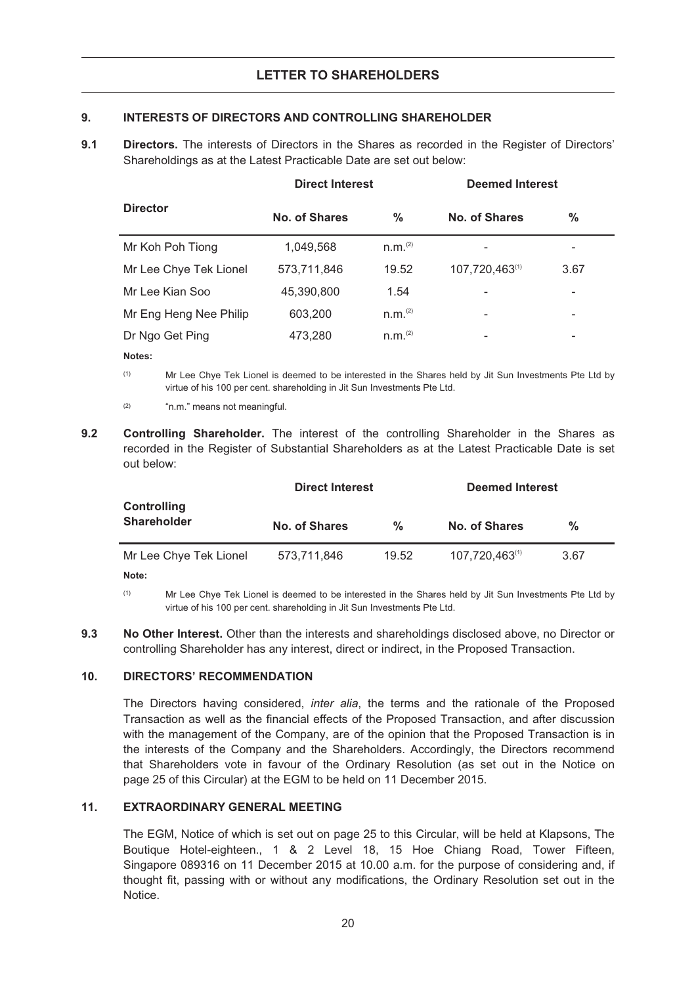#### **9. INTERESTS OF DIRECTORS AND CONTROLLING SHAREHOLDER**

9.1 **Directors.** The interests of Directors in the Shares as recorded in the Register of Directors' Shareholdings as at the Latest Practicable Date are set out below:

|                        | <b>Direct Interest</b> |                       | <b>Deemed Interest</b>       |      |  |  |
|------------------------|------------------------|-----------------------|------------------------------|------|--|--|
| <b>Director</b>        | No. of Shares          | %                     | No. of Shares                | %    |  |  |
| Mr Koh Poh Tiong       | 1,049,568              | n.m. <sup>(2)</sup>   |                              | -    |  |  |
| Mr Lee Chye Tek Lionel | 573,711,846            | 19.52                 | 107,720,463(1)               | 3.67 |  |  |
| Mr Lee Kian Soo        | 45,390,800             | 1.54                  |                              |      |  |  |
| Mr Eng Heng Nee Philip | 603,200                | n.m. <sup>(2)</sup>   |                              |      |  |  |
| Dr Ngo Get Ping        | 473,280                | $n.m.$ <sup>(2)</sup> | $\qquad \qquad \blacksquare$ | -    |  |  |
| $\cdots$               |                        |                       |                              |      |  |  |

**Notes:**

(1) Mr Lee Chye Tek Lionel is deemed to be interested in the Shares held by Jit Sun Investments Pte Ltd by virtue of his 100 per cent. shareholding in Jit Sun Investments Pte Ltd.

- (2) "n.m." means not meaningful.
- **9.2 Controlling Shareholder.** The interest of the controlling Shareholder in the Shares as recorded in the Register of Substantial Shareholders as at the Latest Practicable Date is set out below:

|                                          | <b>Direct Interest</b> |               | <b>Deemed Interest</b> |      |  |
|------------------------------------------|------------------------|---------------|------------------------|------|--|
| <b>Controlling</b><br><b>Shareholder</b> | No. of Shares          | $\frac{0}{0}$ | No. of Shares          | ℅    |  |
| Mr Lee Chye Tek Lionel                   | 573,711,846            | 19.52         | 107,720,463(1)         | 3.67 |  |
| Note:                                    |                        |               |                        |      |  |

(1) Mr Lee Chye Tek Lionel is deemed to be interested in the Shares held by Jit Sun Investments Pte Ltd by virtue of his 100 per cent. shareholding in Jit Sun Investments Pte Ltd.

**9.3 No Other Interest.** Other than the interests and shareholdings disclosed above, no Director or controlling Shareholder has any interest, direct or indirect, in the Proposed Transaction.

#### **10. DIRECTORS' RECOMMENDATION**

The Directors having considered, *inter alia*, the terms and the rationale of the Proposed Transaction as well as the financial effects of the Proposed Transaction, and after discussion with the management of the Company, are of the opinion that the Proposed Transaction is in the interests of the Company and the Shareholders. Accordingly, the Directors recommend that Shareholders vote in favour of the Ordinary Resolution (as set out in the Notice on page 25 of this Circular) at the EGM to be held on 11 December 2015.

#### **11. EXTRAORDINARY GENERAL MEETING**

The EGM, Notice of which is set out on page 25 to this Circular, will be held at Klapsons, The Boutique Hotel-eighteen., 1 & 2 Level 18, 15 Hoe Chiang Road, Tower Fifteen, Singapore 089316 on 11 December 2015 at 10.00 a.m. for the purpose of considering and, if thought fit, passing with or without any modifications, the Ordinary Resolution set out in the Notice.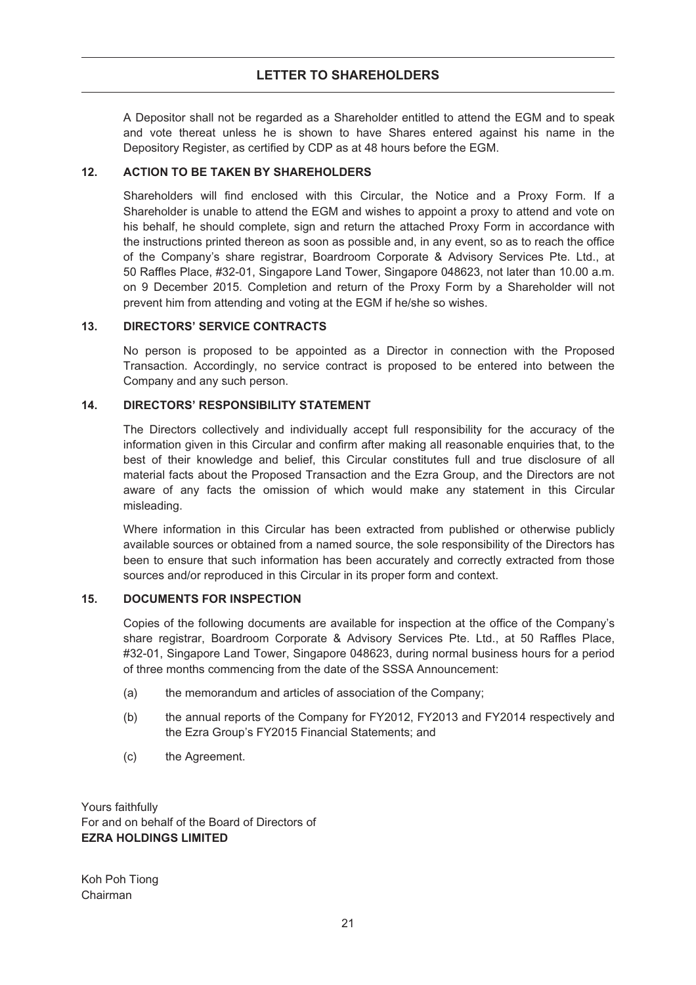A Depositor shall not be regarded as a Shareholder entitled to attend the EGM and to speak and vote thereat unless he is shown to have Shares entered against his name in the Depository Register, as certified by CDP as at 48 hours before the EGM.

#### **12. ACTION TO BE TAKEN BY SHAREHOLDERS**

Shareholders will find enclosed with this Circular, the Notice and a Proxy Form. If a Shareholder is unable to attend the EGM and wishes to appoint a proxy to attend and vote on his behalf, he should complete, sign and return the attached Proxy Form in accordance with the instructions printed thereon as soon as possible and, in any event, so as to reach the office of the Company's share registrar, Boardroom Corporate & Advisory Services Pte. Ltd., at 50 Raffles Place, #32-01, Singapore Land Tower, Singapore 048623, not later than 10.00 a.m. on 9 December 2015. Completion and return of the Proxy Form by a Shareholder will not prevent him from attending and voting at the EGM if he/she so wishes.

#### **13. DIRECTORS' SERVICE CONTRACTS**

No person is proposed to be appointed as a Director in connection with the Proposed Transaction. Accordingly, no service contract is proposed to be entered into between the Company and any such person.

#### **14. DIRECTORS' RESPONSIBILITY STATEMENT**

The Directors collectively and individually accept full responsibility for the accuracy of the information given in this Circular and confirm after making all reasonable enquiries that, to the best of their knowledge and belief, this Circular constitutes full and true disclosure of all material facts about the Proposed Transaction and the Ezra Group, and the Directors are not aware of any facts the omission of which would make any statement in this Circular misleading.

Where information in this Circular has been extracted from published or otherwise publicly available sources or obtained from a named source, the sole responsibility of the Directors has been to ensure that such information has been accurately and correctly extracted from those sources and/or reproduced in this Circular in its proper form and context.

#### **15. DOCUMENTS FOR INSPECTION**

Copies of the following documents are available for inspection at the office of the Company's share registrar, Boardroom Corporate & Advisory Services Pte. Ltd., at 50 Raffles Place, #32-01, Singapore Land Tower, Singapore 048623, during normal business hours for a period of three months commencing from the date of the SSSA Announcement:

- (a) the memorandum and articles of association of the Company;
- (b) the annual reports of the Company for FY2012, FY2013 and FY2014 respectively and the Ezra Group's FY2015 Financial Statements; and
- (c) the Agreement.

Yours faithfully For and on behalf of the Board of Directors of **EZRA HOLDINGS LIMITED**

Koh Poh Tiong Chairman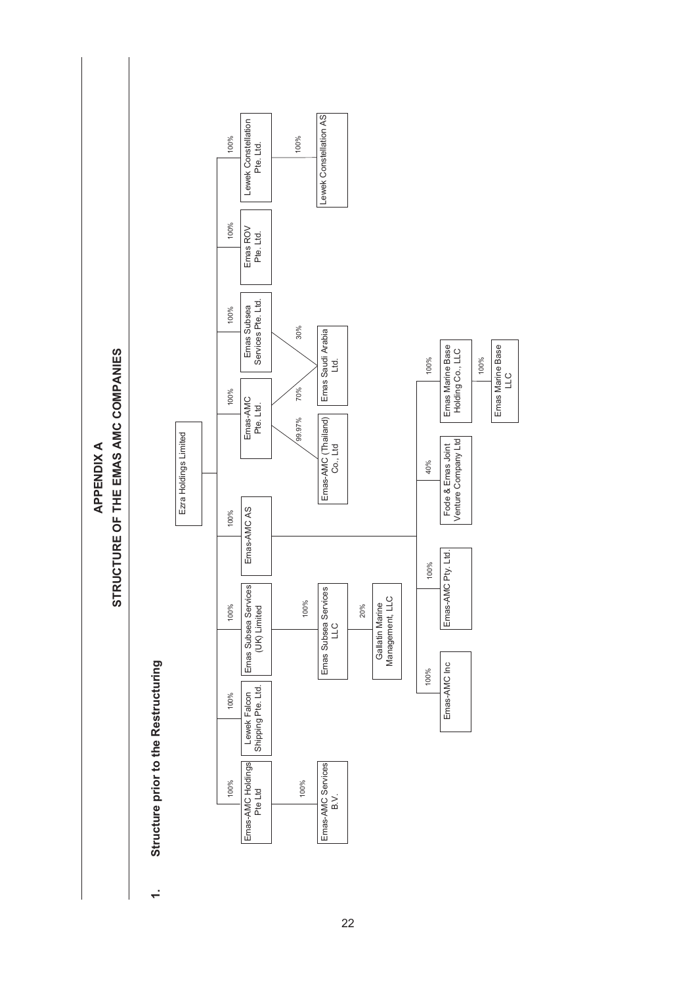STRUCTURE OF THE EMAS AMC COMPANIES **STRUCTURE OF THE EMAS AMC COMPANIES APPENDIX A APPENDIX A**

> Structure prior to the Restructuring **1. Structure prior to the Restructuring**  $\div$



22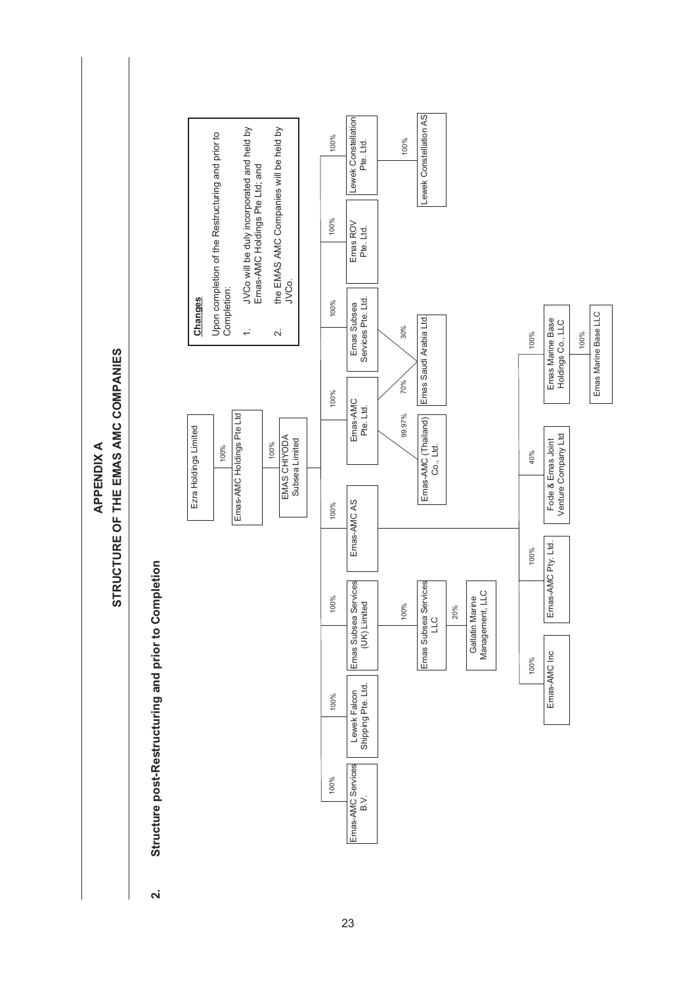STRUCTURE OF THE EMAS AMC COMPANIES **STRUCTURE OF THE EMAS AMC COMPANIES APPENDIXA APPENDIX A**

Structure post-Restructuring and prior to Completion **2. Structure post-Restructuring and prior to Completion**  $\overline{\mathbf{v}}$ 



23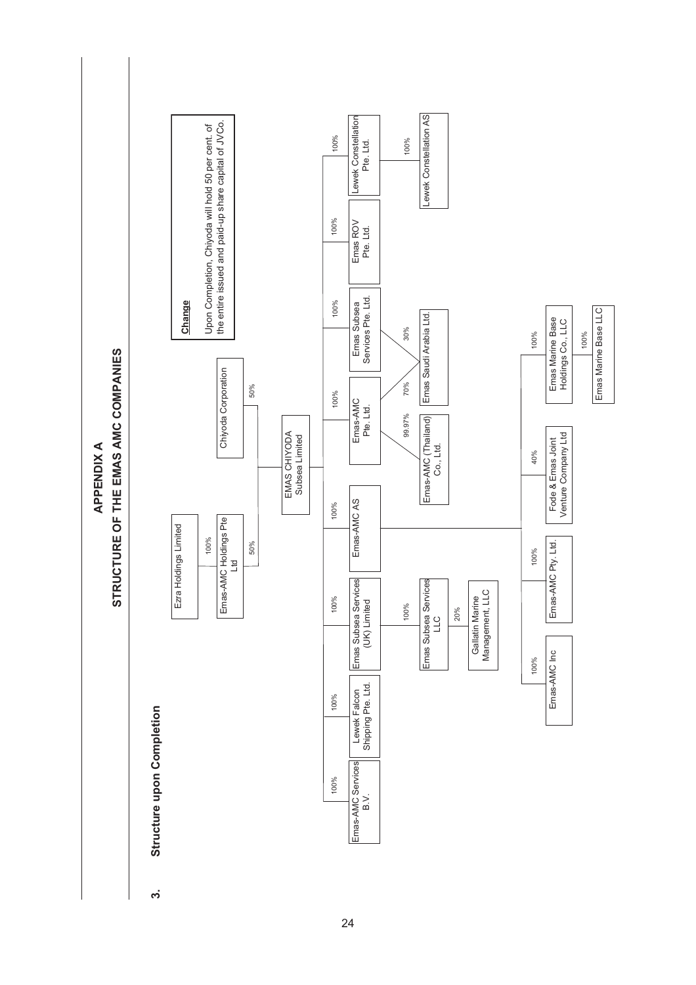

STRUCTURE OF THE EMAS AMC COMPANIES **STRUCTURE OF THE EMAS AMC COMPANIES APPENDIXA APPENDIX A**

က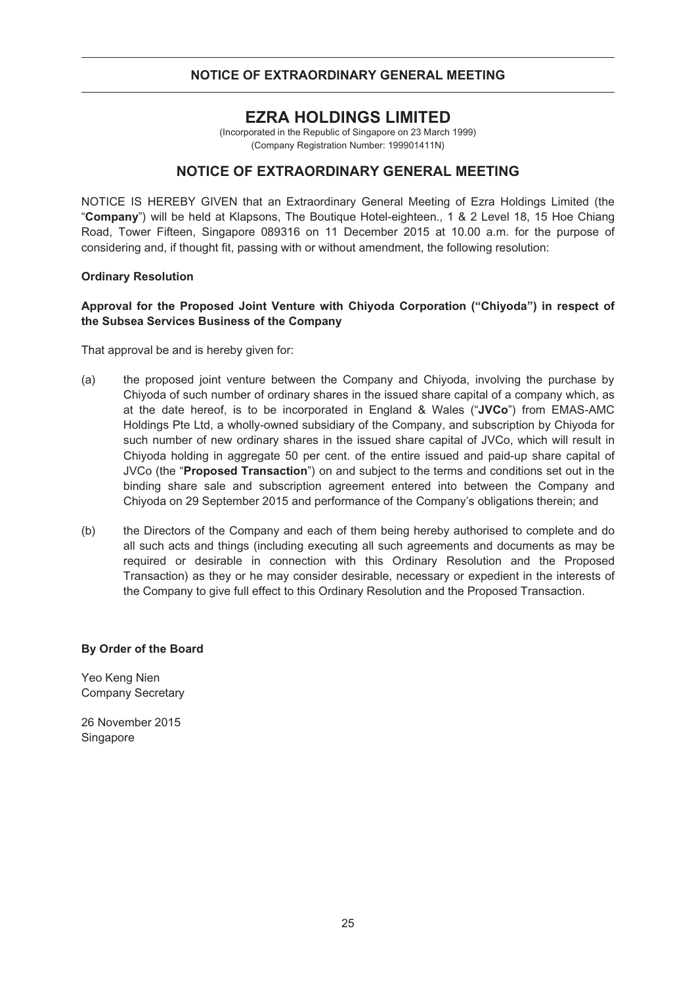#### **NOTICE OF EXTRAORDINARY GENERAL MEETING**

# **EZRA HOLDINGS LIMITED**

(Incorporated in the Republic of Singapore on 23 March 1999) (Company Registration Number: 199901411N)

#### **NOTICE OF EXTRAORDINARY GENERAL MEETING**

NOTICE IS HEREBY GIVEN that an Extraordinary General Meeting of Ezra Holdings Limited (the "**Company**") will be held at Klapsons, The Boutique Hotel-eighteen., 1 & 2 Level 18, 15 Hoe Chiang Road, Tower Fifteen, Singapore 089316 on 11 December 2015 at 10.00 a.m. for the purpose of considering and, if thought fit, passing with or without amendment, the following resolution:

#### **Ordinary Resolution**

#### **Approval for the Proposed Joint Venture with Chiyoda Corporation ("Chiyoda") in respect of the Subsea Services Business of the Company**

That approval be and is hereby given for:

- (a) the proposed joint venture between the Company and Chiyoda, involving the purchase by Chiyoda of such number of ordinary shares in the issued share capital of a company which, as at the date hereof, is to be incorporated in England & Wales ("**JVCo**") from EMAS-AMC Holdings Pte Ltd, a wholly-owned subsidiary of the Company, and subscription by Chiyoda for such number of new ordinary shares in the issued share capital of JVCo, which will result in Chiyoda holding in aggregate 50 per cent. of the entire issued and paid-up share capital of JVCo (the "**Proposed Transaction**") on and subject to the terms and conditions set out in the binding share sale and subscription agreement entered into between the Company and Chiyoda on 29 September 2015 and performance of the Company's obligations therein; and
- (b) the Directors of the Company and each of them being hereby authorised to complete and do all such acts and things (including executing all such agreements and documents as may be required or desirable in connection with this Ordinary Resolution and the Proposed Transaction) as they or he may consider desirable, necessary or expedient in the interests of the Company to give full effect to this Ordinary Resolution and the Proposed Transaction.

#### **By Order of the Board**

Yeo Keng Nien Company Secretary

26 November 2015 Singapore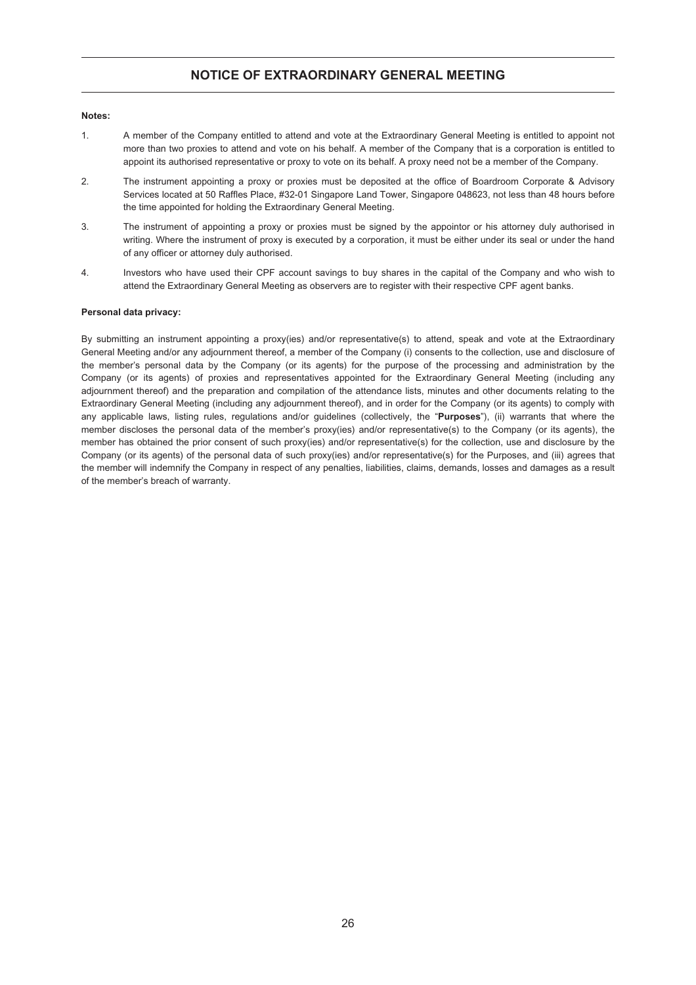#### **NOTICE OF EXTRAORDINARY GENERAL MEETING**

#### **Notes:**

- 1. A member of the Company entitled to attend and vote at the Extraordinary General Meeting is entitled to appoint not more than two proxies to attend and vote on his behalf. A member of the Company that is a corporation is entitled to appoint its authorised representative or proxy to vote on its behalf. A proxy need not be a member of the Company.
- 2. The instrument appointing a proxy or proxies must be deposited at the office of Boardroom Corporate & Advisory Services located at 50 Raffles Place, #32-01 Singapore Land Tower, Singapore 048623, not less than 48 hours before the time appointed for holding the Extraordinary General Meeting.
- 3. The instrument of appointing a proxy or proxies must be signed by the appointor or his attorney duly authorised in writing. Where the instrument of proxy is executed by a corporation, it must be either under its seal or under the hand of any officer or attorney duly authorised.
- 4. Investors who have used their CPF account savings to buy shares in the capital of the Company and who wish to attend the Extraordinary General Meeting as observers are to register with their respective CPF agent banks.

#### **Personal data privacy:**

By submitting an instrument appointing a proxy(ies) and/or representative(s) to attend, speak and vote at the Extraordinary General Meeting and/or any adjournment thereof, a member of the Company (i) consents to the collection, use and disclosure of the member's personal data by the Company (or its agents) for the purpose of the processing and administration by the Company (or its agents) of proxies and representatives appointed for the Extraordinary General Meeting (including any adjournment thereof) and the preparation and compilation of the attendance lists, minutes and other documents relating to the Extraordinary General Meeting (including any adjournment thereof), and in order for the Company (or its agents) to comply with any applicable laws, listing rules, regulations and/or guidelines (collectively, the "**Purposes**"), (ii) warrants that where the member discloses the personal data of the member's proxy(ies) and/or representative(s) to the Company (or its agents), the member has obtained the prior consent of such proxy(ies) and/or representative(s) for the collection, use and disclosure by the Company (or its agents) of the personal data of such proxy(ies) and/or representative(s) for the Purposes, and (iii) agrees that the member will indemnify the Company in respect of any penalties, liabilities, claims, demands, losses and damages as a result of the member's breach of warranty.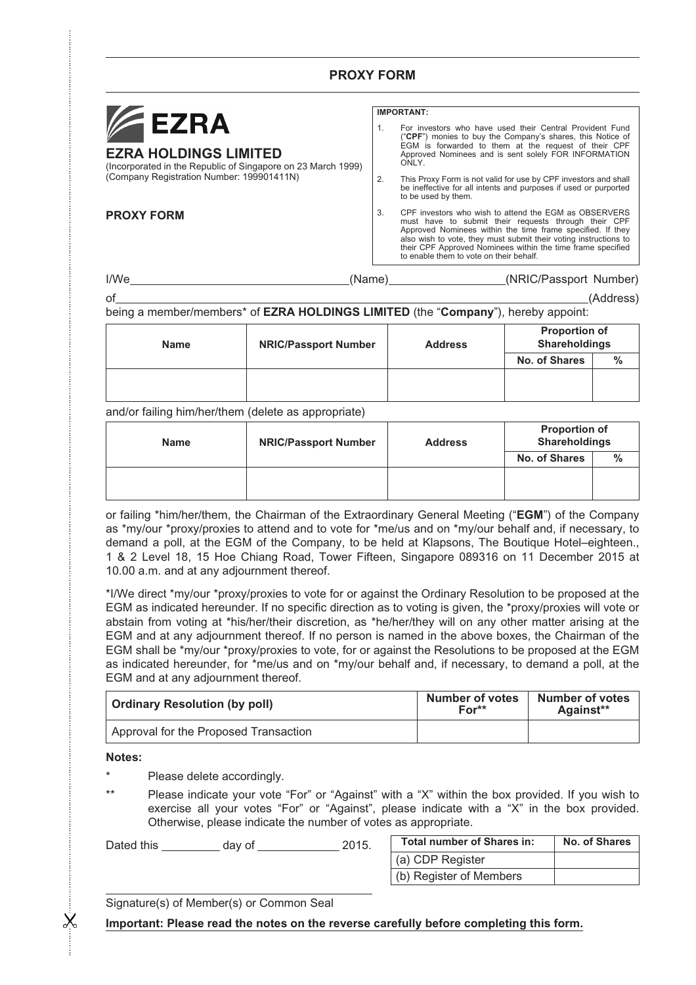### **PROXY FORM**



#### **EZRA HOLDINGS LIMITED**

(Incorporated in the Republic of Singapore on 23 March 1999) (Company Registration Number: 199901411N)

#### **IMPORTANT:**

- 1. For investors who have used their Central Provident Fund ("**CPF**") monies to buy the Company's shares, this Notice of EGM is forwarded to them at the request of their CPF Approved Nominees and is sent solely FOR INFORMATION ONLY
- 2. This Proxy Form is not valid for use by CPF investors and shall be ineffective for all intents and purposes if used or purported to be used by them.
- **PROXY FORM** 3. CPF investors who wish to attend the EGM as OBSERVERS must have to submit their requests through their CPF Approved Nominees within the time frame specified. If they also wish to vote, they must submit their voting instructions to their CPF Approved Nominees within the time frame specified to enable them to vote on their behalf.

#### I/We (Name) (NRIC/Passport Number)

of (Address) being a member/members\* of **EZRA HOLDINGS LIMITED** (the "**Company**"), hereby appoint:

| <b>Name</b> | <b>NRIC/Passport Number</b> | <b>Address</b> | <b>Proportion of</b><br><b>Shareholdings</b> |               |
|-------------|-----------------------------|----------------|----------------------------------------------|---------------|
|             |                             |                | No. of Shares                                | $\frac{0}{0}$ |
|             |                             |                |                                              |               |
|             |                             |                |                                              |               |

#### and/or failing him/her/them (delete as appropriate)

| <b>Name</b> | <b>NRIC/Passport Number</b> | <b>Address</b> | <b>Proportion of</b><br><b>Shareholdings</b> |               |  |
|-------------|-----------------------------|----------------|----------------------------------------------|---------------|--|
|             |                             |                | No. of Shares                                | $\frac{0}{0}$ |  |
|             |                             |                |                                              |               |  |
|             |                             |                |                                              |               |  |

or failing \*him/her/them, the Chairman of the Extraordinary General Meeting ("**EGM**") of the Company as \*my/our \*proxy/proxies to attend and to vote for \*me/us and on \*my/our behalf and, if necessary, to demand a poll, at the EGM of the Company, to be held at Klapsons, The Boutique Hotel–eighteen., 1 & 2 Level 18, 15 Hoe Chiang Road, Tower Fifteen, Singapore 089316 on 11 December 2015 at 10.00 a.m. and at any adjournment thereof.

\*I/We direct \*my/our \*proxy/proxies to vote for or against the Ordinary Resolution to be proposed at the EGM as indicated hereunder. If no specific direction as to voting is given, the \*proxy/proxies will vote or abstain from voting at \*his/her/their discretion, as \*he/her/they will on any other matter arising at the EGM and at any adjournment thereof. If no person is named in the above boxes, the Chairman of the EGM shall be \*my/our \*proxy/proxies to vote, for or against the Resolutions to be proposed at the EGM as indicated hereunder, for \*me/us and on \*my/our behalf and, if necessary, to demand a poll, at the EGM and at any adjournment thereof.

| <b>Ordinary Resolution (by poll)</b>  | <b>Number of votes</b><br>$For**$ | <b>Number of votes</b><br>Against** |
|---------------------------------------|-----------------------------------|-------------------------------------|
| Approval for the Proposed Transaction |                                   |                                     |

**Notes:**

 $\chi$ 

- Please delete accordingly.
- \*\* Please indicate your vote "For" or "Against" with a "X" within the box provided. If you wish to exercise all your votes "For" or "Against", please indicate with a "X" in the box provided. Otherwise, please indicate the number of votes as appropriate.

Dated this \_\_\_\_\_\_\_\_\_\_ day of \_\_\_\_\_\_\_\_\_\_\_\_\_\_ 2015.

| Total number of Shares in: | No. of Shares |
|----------------------------|---------------|
| (a) CDP Register           |               |
| (b) Register of Members    |               |

Signature(s) of Member(s) or Common Seal

**Important: Please read the notes on the reverse carefully before completing this form.**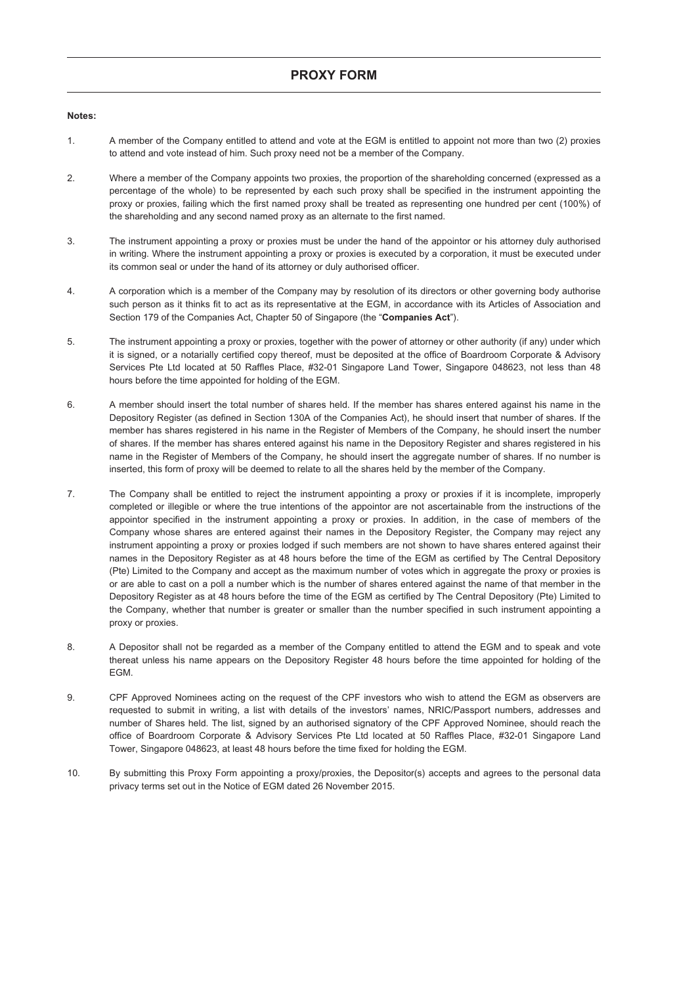#### **Notes:**

- 1. A member of the Company entitled to attend and vote at the EGM is entitled to appoint not more than two (2) proxies to attend and vote instead of him. Such proxy need not be a member of the Company.
- 2. Where a member of the Company appoints two proxies, the proportion of the shareholding concerned (expressed as a percentage of the whole) to be represented by each such proxy shall be specified in the instrument appointing the proxy or proxies, failing which the first named proxy shall be treated as representing one hundred per cent (100%) of the shareholding and any second named proxy as an alternate to the first named.
- 3. The instrument appointing a proxy or proxies must be under the hand of the appointor or his attorney duly authorised in writing. Where the instrument appointing a proxy or proxies is executed by a corporation, it must be executed under its common seal or under the hand of its attorney or duly authorised officer.
- 4. A corporation which is a member of the Company may by resolution of its directors or other governing body authorise such person as it thinks fit to act as its representative at the EGM, in accordance with its Articles of Association and Section 179 of the Companies Act, Chapter 50 of Singapore (the "**Companies Act**").
- 5. The instrument appointing a proxy or proxies, together with the power of attorney or other authority (if any) under which it is signed, or a notarially certified copy thereof, must be deposited at the office of Boardroom Corporate & Advisory Services Pte Ltd located at 50 Raffles Place, #32-01 Singapore Land Tower, Singapore 048623, not less than 48 hours before the time appointed for holding of the EGM.
- 6. A member should insert the total number of shares held. If the member has shares entered against his name in the Depository Register (as defined in Section 130A of the Companies Act), he should insert that number of shares. If the member has shares registered in his name in the Register of Members of the Company, he should insert the number of shares. If the member has shares entered against his name in the Depository Register and shares registered in his name in the Register of Members of the Company, he should insert the aggregate number of shares. If no number is inserted, this form of proxy will be deemed to relate to all the shares held by the member of the Company.
- 7. The Company shall be entitled to reject the instrument appointing a proxy or proxies if it is incomplete, improperly completed or illegible or where the true intentions of the appointor are not ascertainable from the instructions of the appointor specified in the instrument appointing a proxy or proxies. In addition, in the case of members of the Company whose shares are entered against their names in the Depository Register, the Company may reject any instrument appointing a proxy or proxies lodged if such members are not shown to have shares entered against their names in the Depository Register as at 48 hours before the time of the EGM as certified by The Central Depository (Pte) Limited to the Company and accept as the maximum number of votes which in aggregate the proxy or proxies is or are able to cast on a poll a number which is the number of shares entered against the name of that member in the Depository Register as at 48 hours before the time of the EGM as certified by The Central Depository (Pte) Limited to the Company, whether that number is greater or smaller than the number specified in such instrument appointing a proxy or proxies.
- 8. A Depositor shall not be regarded as a member of the Company entitled to attend the EGM and to speak and vote thereat unless his name appears on the Depository Register 48 hours before the time appointed for holding of the EGM.
- 9. CPF Approved Nominees acting on the request of the CPF investors who wish to attend the EGM as observers are requested to submit in writing, a list with details of the investors' names, NRIC/Passport numbers, addresses and number of Shares held. The list, signed by an authorised signatory of the CPF Approved Nominee, should reach the office of Boardroom Corporate & Advisory Services Pte Ltd located at 50 Raffles Place, #32-01 Singapore Land Tower, Singapore 048623, at least 48 hours before the time fixed for holding the EGM.
- 10. By submitting this Proxy Form appointing a proxy/proxies, the Depositor(s) accepts and agrees to the personal data privacy terms set out in the Notice of EGM dated 26 November 2015.